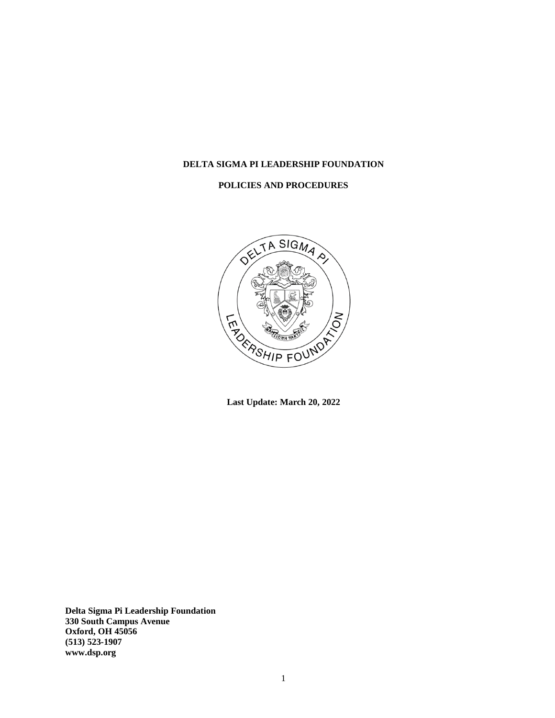# **DELTA SIGMA PI LEADERSHIP FOUNDATION**

# **POLICIES AND PROCEDURES**



**Last Update: March 20, 2022**

**Delta Sigma Pi Leadership Foundation 330 South Campus Avenue Oxford, OH 45056 (513) 523-1907 www.dsp.org**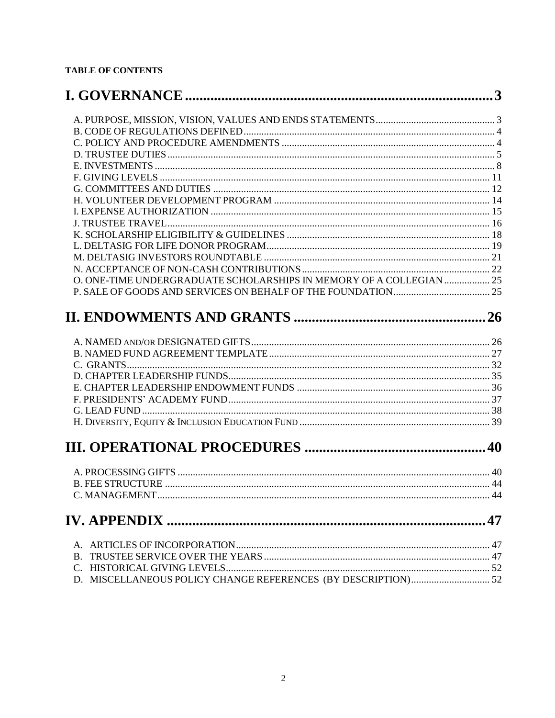# **TABLE OF CONTENTS**

| O. ONE-TIME UNDERGRADUATE SCHOLARSHIPS IN MEMORY OF A COLLEGIAN  25 |  |
|---------------------------------------------------------------------|--|
|                                                                     |  |
|                                                                     |  |
|                                                                     |  |
|                                                                     |  |
|                                                                     |  |
|                                                                     |  |
|                                                                     |  |
|                                                                     |  |
|                                                                     |  |
|                                                                     |  |
|                                                                     |  |
|                                                                     |  |
|                                                                     |  |
|                                                                     |  |
|                                                                     |  |
|                                                                     |  |
|                                                                     |  |
|                                                                     |  |
|                                                                     |  |
|                                                                     |  |
|                                                                     |  |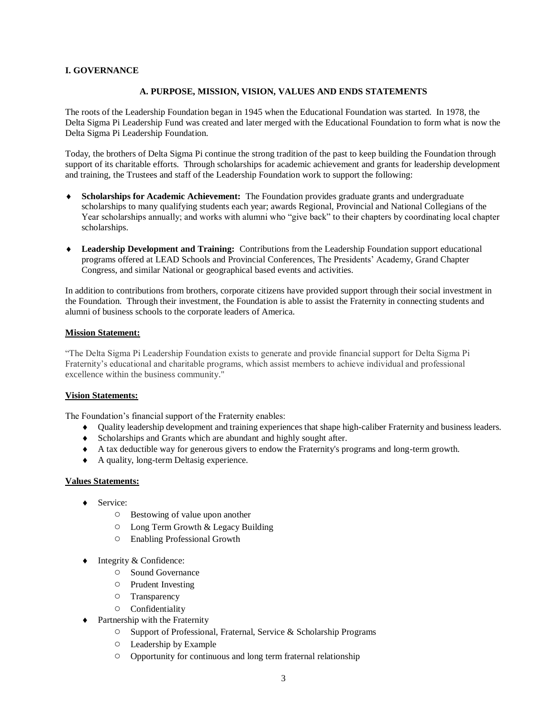### <span id="page-2-1"></span><span id="page-2-0"></span>**I. GOVERNANCE**

### **A. PURPOSE, MISSION, VISION, VALUES AND ENDS STATEMENTS**

The roots of the Leadership Foundation began in 1945 when the Educational Foundation was started. In 1978, the Delta Sigma Pi Leadership Fund was created and later merged with the Educational Foundation to form what is now the Delta Sigma Pi Leadership Foundation.

Today, the brothers of Delta Sigma Pi continue the strong tradition of the past to keep building the Foundation through support of its charitable efforts. Through scholarships for academic achievement and grants for leadership development and training, the Trustees and staff of the Leadership Foundation work to support the following:

- **Scholarships for Academic Achievement:** The Foundation provides graduate grants and undergraduate scholarships to many qualifying students each year; awards Regional, Provincial and National Collegians of the Year scholarships annually; and works with alumni who "give back" to their chapters by coordinating local chapter scholarships.
- **Leadership Development and Training:** Contributions from the Leadership Foundation support educational programs offered at LEAD Schools and Provincial Conferences, The Presidents' Academy, Grand Chapter Congress, and similar National or geographical based events and activities.

In addition to contributions from brothers, corporate citizens have provided support through their social investment in the Foundation. Through their investment, the Foundation is able to assist the Fraternity in connecting students and alumni of business schools to the corporate leaders of America.

#### **Mission Statement:**

"The Delta Sigma Pi Leadership Foundation exists to generate and provide financial support for Delta Sigma Pi Fraternity's educational and charitable programs, which assist members to achieve individual and professional excellence within the business community."

#### **Vision Statements:**

The Foundation's financial support of the Fraternity enables:

- Quality leadership development and training experiences that shape high-caliber Fraternity and business leaders.
- Scholarships and Grants which are abundant and highly sought after.
- A tax deductible way for generous givers to endow the Fraternity's programs and long-term growth.
- A quality, long-term Deltasig experience.

#### **Values Statements:**

- ◆ Service:
	- Bestowing of value upon another
	- Long Term Growth & Legacy Building
	- Enabling Professional Growth
- Integrity & Confidence:
	- Sound Governance
	- Prudent Investing
	- Transparency
	- Confidentiality
- Partnership with the Fraternity
	- Support of Professional, Fraternal, Service & Scholarship Programs
	- Leadership by Example
	- Opportunity for continuous and long term fraternal relationship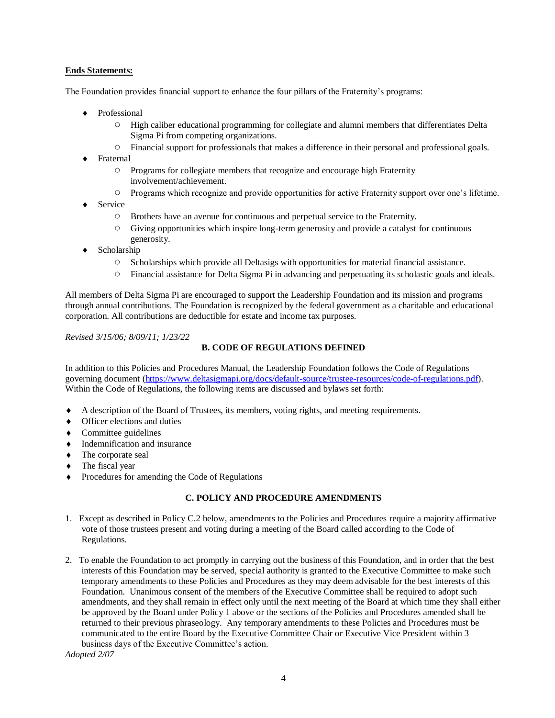# **Ends Statements:**

The Foundation provides financial support to enhance the four pillars of the Fraternity's programs:

- Professional
	- High caliber educational programming for collegiate and alumni members that differentiates Delta Sigma Pi from competing organizations.
	- Financial support for professionals that makes a difference in their personal and professional goals.
- ◆ Fraternal
	- Programs for collegiate members that recognize and encourage high Fraternity involvement/achievement.
	- Programs which recognize and provide opportunities for active Fraternity support over one's lifetime.
- Service
	- Brothers have an avenue for continuous and perpetual service to the Fraternity.
	- Giving opportunities which inspire long-term generosity and provide a catalyst for continuous generosity.
- Scholarship
	- Scholarships which provide all Deltasigs with opportunities for material financial assistance.
	- Financial assistance for Delta Sigma Pi in advancing and perpetuating its scholastic goals and ideals.

All members of Delta Sigma Pi are encouraged to support the Leadership Foundation and its mission and programs through annual contributions. The Foundation is recognized by the federal government as a charitable and educational corporation. All contributions are deductible for estate and income tax purposes.

<span id="page-3-0"></span>*Revised 3/15/06; 8/09/11; 1/23/22*

# **B. CODE OF REGULATIONS DEFINED**

In addition to this Policies and Procedures Manual, the Leadership Foundation follows the Code of Regulations governing document [\(https://www.deltasigmapi.org/docs/default-source/trustee-resources/code-of-regulations.pdf\)](https://www.deltasigmapi.org/docs/default-source/trustee-resources/code-of-regulations.pdf). Within the Code of Regulations, the following items are discussed and bylaws set forth:

- A description of the Board of Trustees, its members, voting rights, and meeting requirements.
- ◆ Officer elections and duties
- Committee guidelines
- $\bullet$  Indemnification and insurance
- The corporate seal
- The fiscal year
- <span id="page-3-1"></span>Procedures for amending the Code of Regulations

# **C. POLICY AND PROCEDURE AMENDMENTS**

- 1. Except as described in Policy C.2 below, amendments to the Policies and Procedures require a majority affirmative vote of those trustees present and voting during a meeting of the Board called according to the Code of Regulations.
- 2. To enable the Foundation to act promptly in carrying out the business of this Foundation, and in order that the best interests of this Foundation may be served, special authority is granted to the Executive Committee to make such temporary amendments to these Policies and Procedures as they may deem advisable for the best interests of this Foundation. Unanimous consent of the members of the Executive Committee shall be required to adopt such amendments, and they shall remain in effect only until the next meeting of the Board at which time they shall either be approved by the Board under Policy 1 above or the sections of the Policies and Procedures amended shall be returned to their previous phraseology. Any temporary amendments to these Policies and Procedures must be communicated to the entire Board by the Executive Committee Chair or Executive Vice President within 3 business days of the Executive Committee's action.

*Adopted 2/07*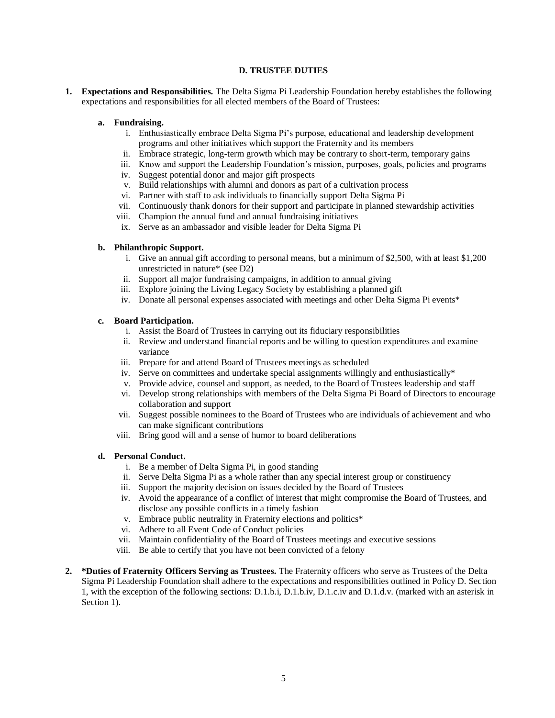### **D. TRUSTEE DUTIES**

<span id="page-4-0"></span>**1. Expectations and Responsibilities.** The Delta Sigma Pi Leadership Foundation hereby establishes the following expectations and responsibilities for all elected members of the Board of Trustees:

### **a. Fundraising.**

- i. Enthusiastically embrace Delta Sigma Pi's purpose, educational and leadership development programs and other initiatives which support the Fraternity and its members
- ii. Embrace strategic, long-term growth which may be contrary to short-term, temporary gains
- iii. Know and support the Leadership Foundation's mission, purposes, goals, policies and programs
- iv. Suggest potential donor and major gift prospects
- v. Build relationships with alumni and donors as part of a cultivation process
- vi. Partner with staff to ask individuals to financially support Delta Sigma Pi
- vii. Continuously thank donors for their support and participate in planned stewardship activities
- viii. Champion the annual fund and annual fundraising initiatives
- ix. Serve as an ambassador and visible leader for Delta Sigma Pi

### **b. Philanthropic Support.**

- i. Give an annual gift according to personal means, but a minimum of \$2,500, with at least \$1,200 unrestricted in nature\* (see D2)
- ii. Support all major fundraising campaigns, in addition to annual giving
- iii. Explore joining the Living Legacy Society by establishing a planned gift
- iv. Donate all personal expenses associated with meetings and other Delta Sigma Pi events\*

### **c. Board Participation.**

- i. Assist the Board of Trustees in carrying out its fiduciary responsibilities
- ii. Review and understand financial reports and be willing to question expenditures and examine variance
- iii. Prepare for and attend Board of Trustees meetings as scheduled
- iv. Serve on committees and undertake special assignments willingly and enthusiastically\*
- v. Provide advice, counsel and support, as needed, to the Board of Trustees leadership and staff
- vi. Develop strong relationships with members of the Delta Sigma Pi Board of Directors to encourage collaboration and support
- vii. Suggest possible nominees to the Board of Trustees who are individuals of achievement and who can make significant contributions
- viii. Bring good will and a sense of humor to board deliberations

# **d. Personal Conduct.**

- i. Be a member of Delta Sigma Pi, in good standing
- ii. Serve Delta Sigma Pi as a whole rather than any special interest group or constituency
- iii. Support the majority decision on issues decided by the Board of Trustees
- iv. Avoid the appearance of a conflict of interest that might compromise the Board of Trustees, and disclose any possible conflicts in a timely fashion
- v. Embrace public neutrality in Fraternity elections and politics\*
- vi. Adhere to all Event Code of Conduct policies
- vii. Maintain confidentiality of the Board of Trustees meetings and executive sessions
- viii. Be able to certify that you have not been convicted of a felony
- **2. \*Duties of Fraternity Officers Serving as Trustees.** The Fraternity officers who serve as Trustees of the Delta Sigma Pi Leadership Foundation shall adhere to the expectations and responsibilities outlined in Policy D. Section 1, with the exception of the following sections: D.1.b.i, D.1.b.iv, D.1.c.iv and D.1.d.v. (marked with an asterisk in Section 1).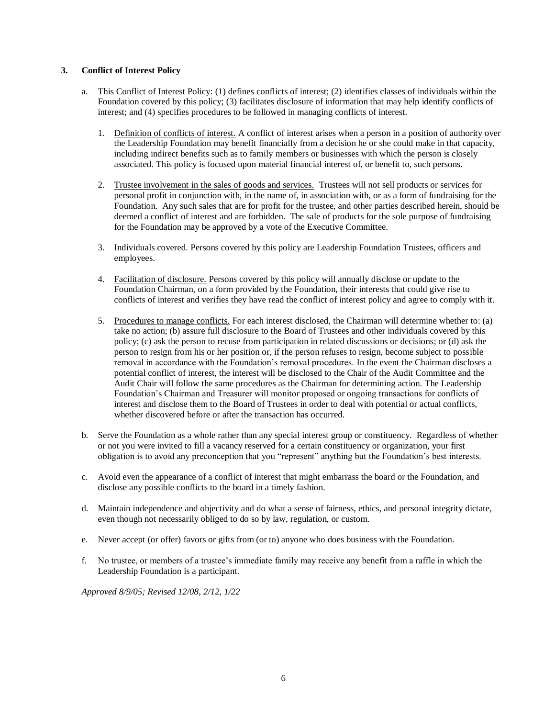### **3. Conflict of Interest Policy**

- a. This Conflict of Interest Policy: (1) defines conflicts of interest; (2) identifies classes of individuals within the Foundation covered by this policy; (3) facilitates disclosure of information that may help identify conflicts of interest; and (4) specifies procedures to be followed in managing conflicts of interest.
	- 1. Definition of conflicts of interest. A conflict of interest arises when a person in a position of authority over the Leadership Foundation may benefit financially from a decision he or she could make in that capacity, including indirect benefits such as to family members or businesses with which the person is closely associated. This policy is focused upon material financial interest of, or benefit to, such persons.
	- 2. Trustee involvement in the sales of goods and services. Trustees will not sell products or services for personal profit in conjunction with, in the name of, in association with, or as a form of fundraising for the Foundation. Any such sales that are for profit for the trustee, and other parties described herein, should be deemed a conflict of interest and are forbidden. The sale of products for the sole purpose of fundraising for the Foundation may be approved by a vote of the Executive Committee.
	- 3. Individuals covered. Persons covered by this policy are Leadership Foundation Trustees, officers and employees.
	- 4. Facilitation of disclosure. Persons covered by this policy will annually disclose or update to the Foundation Chairman, on a form provided by the Foundation, their interests that could give rise to conflicts of interest and verifies they have read the conflict of interest policy and agree to comply with it.
	- 5. Procedures to manage conflicts. For each interest disclosed, the Chairman will determine whether to: (a) take no action; (b) assure full disclosure to the Board of Trustees and other individuals covered by this policy; (c) ask the person to recuse from participation in related discussions or decisions; or (d) ask the person to resign from his or her position or, if the person refuses to resign, become subject to possible removal in accordance with the Foundation's removal procedures. In the event the Chairman discloses a potential conflict of interest, the interest will be disclosed to the Chair of the Audit Committee and the Audit Chair will follow the same procedures as the Chairman for determining action. The Leadership Foundation's Chairman and Treasurer will monitor proposed or ongoing transactions for conflicts of interest and disclose them to the Board of Trustees in order to deal with potential or actual conflicts, whether discovered before or after the transaction has occurred.
- b. Serve the Foundation as a whole rather than any special interest group or constituency. Regardless of whether or not you were invited to fill a vacancy reserved for a certain constituency or organization, your first obligation is to avoid any preconception that you "represent" anything but the Foundation's best interests.
- c. Avoid even the appearance of a conflict of interest that might embarrass the board or the Foundation, and disclose any possible conflicts to the board in a timely fashion.
- d. Maintain independence and objectivity and do what a sense of fairness, ethics, and personal integrity dictate, even though not necessarily obliged to do so by law, regulation, or custom.
- e. Never accept (or offer) favors or gifts from (or to) anyone who does business with the Foundation.
- f. No trustee, or members of a trustee's immediate family may receive any benefit from a raffle in which the Leadership Foundation is a participant.

*Approved 8/9/05; Revised 12/08, 2/12, 1/22*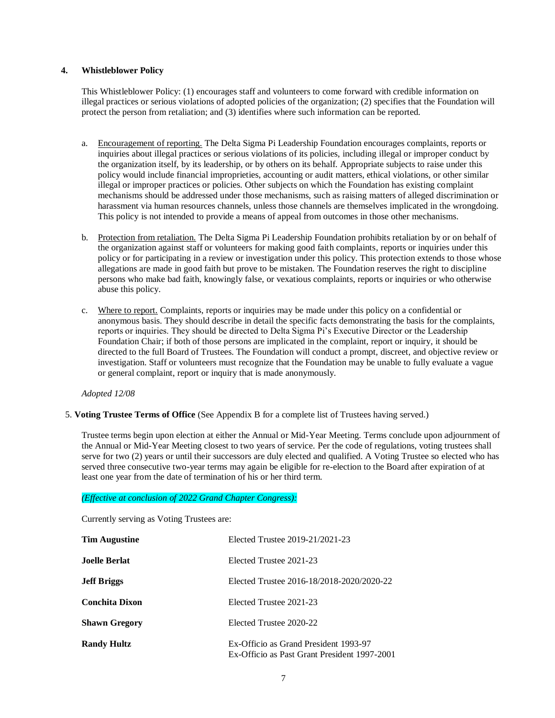### **4. Whistleblower Policy**

This Whistleblower Policy: (1) encourages staff and volunteers to come forward with credible information on illegal practices or serious violations of adopted policies of the organization; (2) specifies that the Foundation will protect the person from retaliation; and (3) identifies where such information can be reported.

- a. Encouragement of reporting. The Delta Sigma Pi Leadership Foundation encourages complaints, reports or inquiries about illegal practices or serious violations of its policies, including illegal or improper conduct by the organization itself, by its leadership, or by others on its behalf. Appropriate subjects to raise under this policy would include financial improprieties, accounting or audit matters, ethical violations, or other similar illegal or improper practices or policies. Other subjects on which the Foundation has existing complaint mechanisms should be addressed under those mechanisms, such as raising matters of alleged discrimination or harassment via human resources channels, unless those channels are themselves implicated in the wrongdoing. This policy is not intended to provide a means of appeal from outcomes in those other mechanisms.
- b. Protection from retaliation. The Delta Sigma Pi Leadership Foundation prohibits retaliation by or on behalf of the organization against staff or volunteers for making good faith complaints, reports or inquiries under this policy or for participating in a review or investigation under this policy. This protection extends to those whose allegations are made in good faith but prove to be mistaken. The Foundation reserves the right to discipline persons who make bad faith, knowingly false, or vexatious complaints, reports or inquiries or who otherwise abuse this policy.
- c. Where to report. Complaints, reports or inquiries may be made under this policy on a confidential or anonymous basis. They should describe in detail the specific facts demonstrating the basis for the complaints, reports or inquiries. They should be directed to Delta Sigma Pi's Executive Director or the Leadership Foundation Chair; if both of those persons are implicated in the complaint, report or inquiry, it should be directed to the full Board of Trustees. The Foundation will conduct a prompt, discreet, and objective review or investigation. Staff or volunteers must recognize that the Foundation may be unable to fully evaluate a vague or general complaint, report or inquiry that is made anonymously.

*Adopted 12/08*

# 5. **Voting Trustee Terms of Office** (See Appendix B for a complete list of Trustees having served.)

Trustee terms begin upon election at either the Annual or Mid-Year Meeting. Terms conclude upon adjournment of the Annual or Mid-Year Meeting closest to two years of service. Per the code of regulations, voting trustees shall serve for two (2) years or until their successors are duly elected and qualified. A Voting Trustee so elected who has served three consecutive two-year terms may again be eligible for re-election to the Board after expiration of at least one year from the date of termination of his or her third term.

#### *(Effective at conclusion of 2022 Grand Chapter Congress):*

Currently serving as Voting Trustees are:

| <b>Tim Augustine</b>  | Elected Trustee 2019-21/2021-23                                                       |
|-----------------------|---------------------------------------------------------------------------------------|
| Joelle Berlat         | Elected Trustee 2021-23                                                               |
| <b>Jeff Briggs</b>    | Elected Trustee 2016-18/2018-2020/2020-22                                             |
| <b>Conchita Dixon</b> | Elected Trustee 2021-23                                                               |
| <b>Shawn Gregory</b>  | Elected Trustee 2020-22                                                               |
| <b>Randy Hultz</b>    | Ex-Officio as Grand President 1993-97<br>Ex-Officio as Past Grant President 1997-2001 |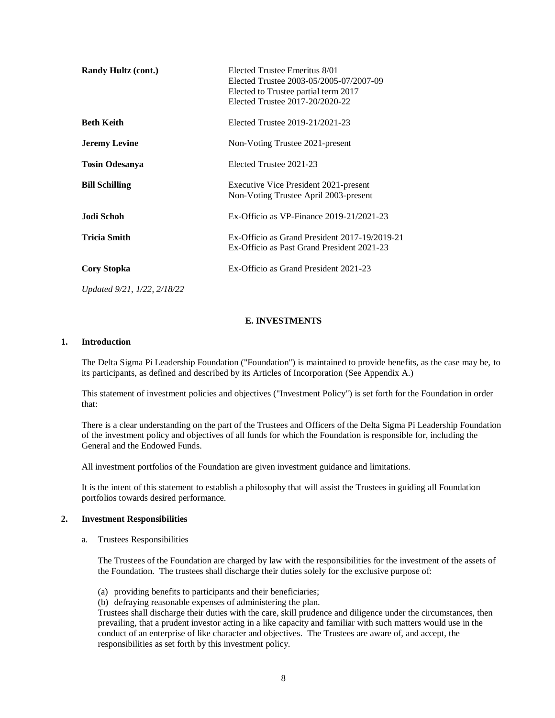| <b>Randy Hultz (cont.)</b>  | Elected Trustee Emeritus 8/01<br>Elected Trustee 2003-05/2005-07/2007-09<br>Elected to Trustee partial term 2017<br>Elected Trustee 2017-20/2020-22 |
|-----------------------------|-----------------------------------------------------------------------------------------------------------------------------------------------------|
| <b>Beth Keith</b>           | Elected Trustee 2019-21/2021-23                                                                                                                     |
| <b>Jeremy Levine</b>        | Non-Voting Trustee 2021-present                                                                                                                     |
| <b>Tosin Odesanya</b>       | Elected Trustee 2021-23                                                                                                                             |
| <b>Bill Schilling</b>       | Executive Vice President 2021-present<br>Non-Voting Trustee April 2003-present                                                                      |
| Jodi Schoh                  | Ex-Officio as VP-Finance $2019-21/2021-23$                                                                                                          |
| <b>Tricia Smith</b>         | Ex-Officio as Grand President 2017-19/2019-21<br>Ex-Officio as Past Grand President 2021-23                                                         |
| <b>Cory Stopka</b>          | Ex-Officio as Grand President 2021-23                                                                                                               |
| Updated 9/21, 1/22, 2/18/22 |                                                                                                                                                     |

### **E. INVESTMENTS**

#### <span id="page-7-0"></span>**1. Introduction**

The Delta Sigma Pi Leadership Foundation ("Foundation") is maintained to provide benefits, as the case may be, to its participants, as defined and described by its Articles of Incorporation (See Appendix A.)

This statement of investment policies and objectives ("Investment Policy") is set forth for the Foundation in order that:

There is a clear understanding on the part of the Trustees and Officers of the Delta Sigma Pi Leadership Foundation of the investment policy and objectives of all funds for which the Foundation is responsible for, including the General and the Endowed Funds.

All investment portfolios of the Foundation are given investment guidance and limitations.

It is the intent of this statement to establish a philosophy that will assist the Trustees in guiding all Foundation portfolios towards desired performance.

#### **2. Investment Responsibilities**

a. Trustees Responsibilities

The Trustees of the Foundation are charged by law with the responsibilities for the investment of the assets of the Foundation. The trustees shall discharge their duties solely for the exclusive purpose of:

- (a) providing benefits to participants and their beneficiaries;
- (b) defraying reasonable expenses of administering the plan.

Trustees shall discharge their duties with the care, skill prudence and diligence under the circumstances, then prevailing, that a prudent investor acting in a like capacity and familiar with such matters would use in the conduct of an enterprise of like character and objectives. The Trustees are aware of, and accept, the responsibilities as set forth by this investment policy.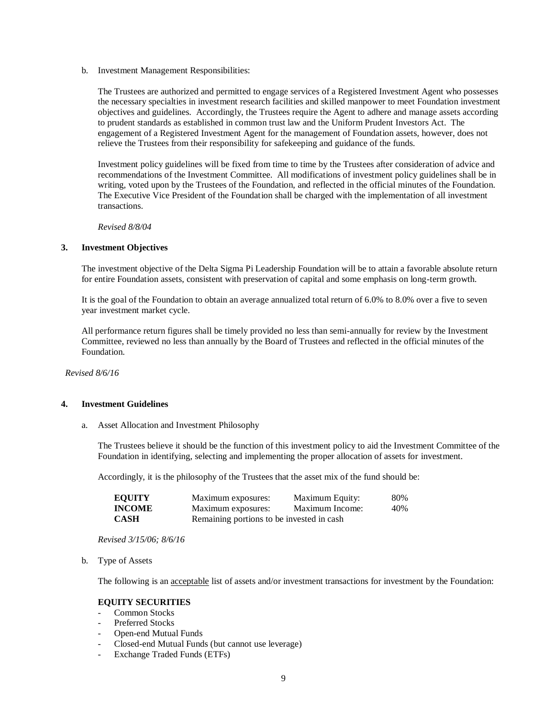b. Investment Management Responsibilities:

The Trustees are authorized and permitted to engage services of a Registered Investment Agent who possesses the necessary specialties in investment research facilities and skilled manpower to meet Foundation investment objectives and guidelines. Accordingly, the Trustees require the Agent to adhere and manage assets according to prudent standards as established in common trust law and the Uniform Prudent Investors Act. The engagement of a Registered Investment Agent for the management of Foundation assets, however, does not relieve the Trustees from their responsibility for safekeeping and guidance of the funds.

Investment policy guidelines will be fixed from time to time by the Trustees after consideration of advice and recommendations of the Investment Committee. All modifications of investment policy guidelines shall be in writing, voted upon by the Trustees of the Foundation, and reflected in the official minutes of the Foundation. The Executive Vice President of the Foundation shall be charged with the implementation of all investment transactions.

*Revised 8/8/04*

#### **3. Investment Objectives**

The investment objective of the Delta Sigma Pi Leadership Foundation will be to attain a favorable absolute return for entire Foundation assets, consistent with preservation of capital and some emphasis on long-term growth.

It is the goal of the Foundation to obtain an average annualized total return of 6.0% to 8.0% over a five to seven year investment market cycle.

All performance return figures shall be timely provided no less than semi-annually for review by the Investment Committee, reviewed no less than annually by the Board of Trustees and reflected in the official minutes of the Foundation.

*Revised 8/6/16*

#### **4. Investment Guidelines**

a. Asset Allocation and Investment Philosophy

The Trustees believe it should be the function of this investment policy to aid the Investment Committee of the Foundation in identifying, selecting and implementing the proper allocation of assets for investment.

Accordingly, it is the philosophy of the Trustees that the asset mix of the fund should be:

| <b>EOUITY</b> | Maximum exposures:                         | Maximum Equity: | 80% |
|---------------|--------------------------------------------|-----------------|-----|
| <b>INCOME</b> | Maximum exposures:                         | Maximum Income: | 40% |
| <b>CASH</b>   | Remaining portions to be invested in cash. |                 |     |

*Revised 3/15/06; 8/6/16*

b. Type of Assets

The following is an acceptable list of assets and/or investment transactions for investment by the Foundation:

#### **EQUITY SECURITIES**

- Common Stocks
- Preferred Stocks
- Open-end Mutual Funds
- Closed-end Mutual Funds (but cannot use leverage)
- Exchange Traded Funds (ETFs)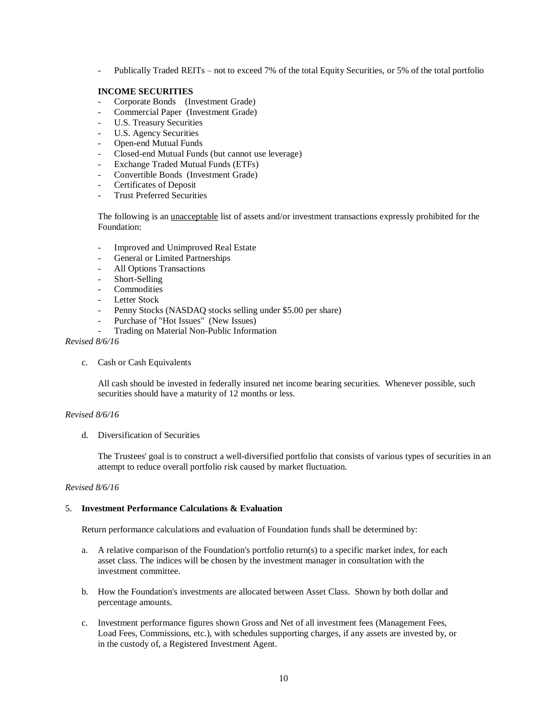- Publically Traded REITs – not to exceed 7% of the total Equity Securities, or 5% of the total portfolio

### **INCOME SECURITIES**

- Corporate Bonds (Investment Grade)
- Commercial Paper (Investment Grade)
- U.S. Treasury Securities
- U.S. Agency Securities
- Open-end Mutual Funds
- Closed-end Mutual Funds (but cannot use leverage)
- Exchange Traded Mutual Funds (ETFs)
- Convertible Bonds (Investment Grade)
- Certificates of Deposit
- Trust Preferred Securities

The following is an unacceptable list of assets and/or investment transactions expressly prohibited for the Foundation:

- Improved and Unimproved Real Estate
- General or Limited Partnerships
- All Options Transactions
- Short-Selling
- Commodities
- Letter Stock
- Penny Stocks (NASDAQ stocks selling under \$5.00 per share)
- Purchase of "Hot Issues" (New Issues)
- Trading on Material Non-Public Information

*Revised 8/6/16*

c. Cash or Cash Equivalents

All cash should be invested in federally insured net income bearing securities. Whenever possible, such securities should have a maturity of 12 months or less.

### *Revised 8/6/16*

d. Diversification of Securities

The Trustees' goal is to construct a well-diversified portfolio that consists of various types of securities in an attempt to reduce overall portfolio risk caused by market fluctuation.

#### *Revised 8/6/16*

#### 5. **Investment Performance Calculations & Evaluation**

Return performance calculations and evaluation of Foundation funds shall be determined by:

- a. A relative comparison of the Foundation's portfolio return(s) to a specific market index, for each asset class. The indices will be chosen by the investment manager in consultation with the investment committee.
- b. How the Foundation's investments are allocated between Asset Class. Shown by both dollar and percentage amounts.
- c. Investment performance figures shown Gross and Net of all investment fees (Management Fees, Load Fees, Commissions, etc.), with schedules supporting charges, if any assets are invested by, or in the custody of, a Registered Investment Agent.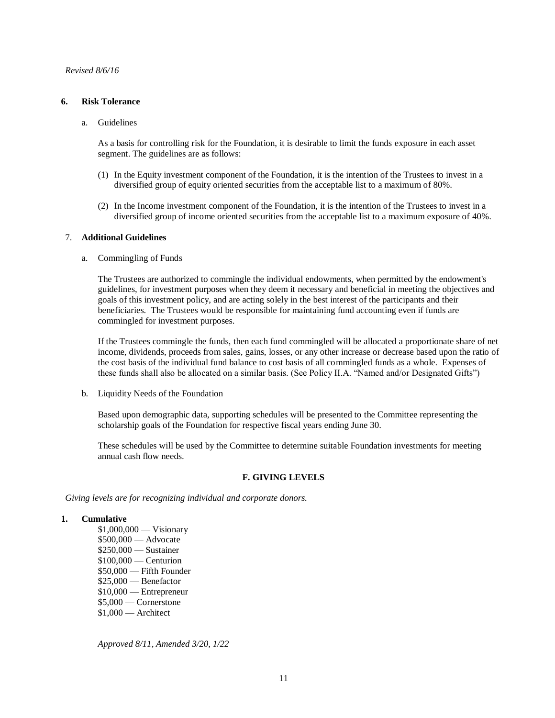#### **6. Risk Tolerance**

a. Guidelines

As a basis for controlling risk for the Foundation, it is desirable to limit the funds exposure in each asset segment. The guidelines are as follows:

- (1) In the Equity investment component of the Foundation, it is the intention of the Trustees to invest in a diversified group of equity oriented securities from the acceptable list to a maximum of 80%.
- (2) In the Income investment component of the Foundation, it is the intention of the Trustees to invest in a diversified group of income oriented securities from the acceptable list to a maximum exposure of 40%.

#### 7. **Additional Guidelines**

a. Commingling of Funds

The Trustees are authorized to commingle the individual endowments, when permitted by the endowment's guidelines, for investment purposes when they deem it necessary and beneficial in meeting the objectives and goals of this investment policy, and are acting solely in the best interest of the participants and their beneficiaries. The Trustees would be responsible for maintaining fund accounting even if funds are commingled for investment purposes.

If the Trustees commingle the funds, then each fund commingled will be allocated a proportionate share of net income, dividends, proceeds from sales, gains, losses, or any other increase or decrease based upon the ratio of the cost basis of the individual fund balance to cost basis of all commingled funds as a whole. Expenses of these funds shall also be allocated on a similar basis. (See Policy II.A. "Named and/or Designated Gifts")

b. Liquidity Needs of the Foundation

Based upon demographic data, supporting schedules will be presented to the Committee representing the scholarship goals of the Foundation for respective fiscal years ending June 30.

These schedules will be used by the Committee to determine suitable Foundation investments for meeting annual cash flow needs.

### **F. GIVING LEVELS**

<span id="page-10-0"></span>*Giving levels are for recognizing individual and corporate donors.*

#### **1. Cumulative**

\$1,000,000 — Visionary \$500,000 — Advocate \$250,000 — Sustainer \$100,000 — Centurion \$50,000 — Fifth Founder \$25,000 — Benefactor \$10,000 — Entrepreneur \$5,000 — Cornerstone \$1,000 — Architect

*Approved 8/11, Amended 3/20, 1/22*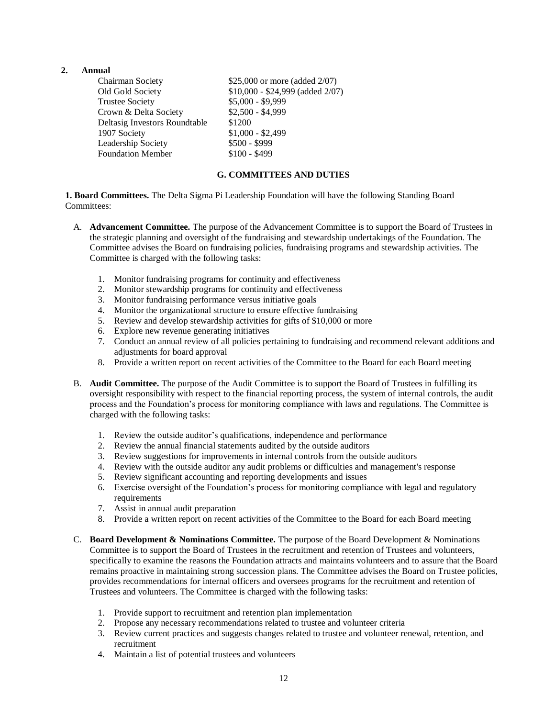# **2. Annual**

| Chairman Society              | \$25,000 or more (added 2/07)       |
|-------------------------------|-------------------------------------|
| Old Gold Society              | $$10,000 - $24,999$ (added $2/07$ ) |
| <b>Trustee Society</b>        | $$5,000 - $9,999$                   |
| Crown & Delta Society         | $$2,500 - $4,999$                   |
| Deltasig Investors Roundtable | \$1200                              |
| 1907 Society                  | $$1,000 - $2,499$                   |
| Leadership Society            | \$500 - \$999                       |
| <b>Foundation Member</b>      | $$100 - $499$                       |
|                               |                                     |

# **G. COMMITTEES AND DUTIES**

<span id="page-11-0"></span>**1. Board Committees.** The Delta Sigma Pi Leadership Foundation will have the following Standing Board Committees:

- A. **Advancement Committee.** The purpose of the Advancement Committee is to support the Board of Trustees in the strategic planning and oversight of the fundraising and stewardship undertakings of the Foundation. The Committee advises the Board on fundraising policies, fundraising programs and stewardship activities. The Committee is charged with the following tasks:
	- 1. Monitor fundraising programs for continuity and effectiveness
	- 2. Monitor stewardship programs for continuity and effectiveness
	- 3. Monitor fundraising performance versus initiative goals
	- 4. Monitor the organizational structure to ensure effective fundraising
	- 5. Review and develop stewardship activities for gifts of \$10,000 or more
	- 6. Explore new revenue generating initiatives
	- 7. Conduct an annual review of all policies pertaining to fundraising and recommend relevant additions and adjustments for board approval
	- 8. Provide a written report on recent activities of the Committee to the Board for each Board meeting
- B. **Audit Committee.** The purpose of the Audit Committee is to support the Board of Trustees in fulfilling its oversight responsibility with respect to the financial reporting process, the system of internal controls, the audit process and the Foundation's process for monitoring compliance with laws and regulations. The Committee is charged with the following tasks:
	- 1. Review the outside auditor's qualifications, independence and performance
	- 2. Review the annual financial statements audited by the outside auditors
	- 3. Review suggestions for improvements in internal controls from the outside auditors
	- 4. Review with the outside auditor any audit problems or difficulties and management's response
	- 5. Review significant accounting and reporting developments and issues
	- 6. Exercise oversight of the Foundation's process for monitoring compliance with legal and regulatory requirements
	- 7. Assist in annual audit preparation
	- 8. Provide a written report on recent activities of the Committee to the Board for each Board meeting
- C. **Board Development & Nominations Committee.** The purpose of the Board Development & Nominations Committee is to support the Board of Trustees in the recruitment and retention of Trustees and volunteers, specifically to examine the reasons the Foundation attracts and maintains volunteers and to assure that the Board remains proactive in maintaining strong succession plans. The Committee advises the Board on Trustee policies, provides recommendations for internal officers and oversees programs for the recruitment and retention of Trustees and volunteers. The Committee is charged with the following tasks:
	- 1. Provide support to recruitment and retention plan implementation
	- 2. Propose any necessary recommendations related to trustee and volunteer criteria
	- 3. Review current practices and suggests changes related to trustee and volunteer renewal, retention, and recruitment
	- 4. Maintain a list of potential trustees and volunteers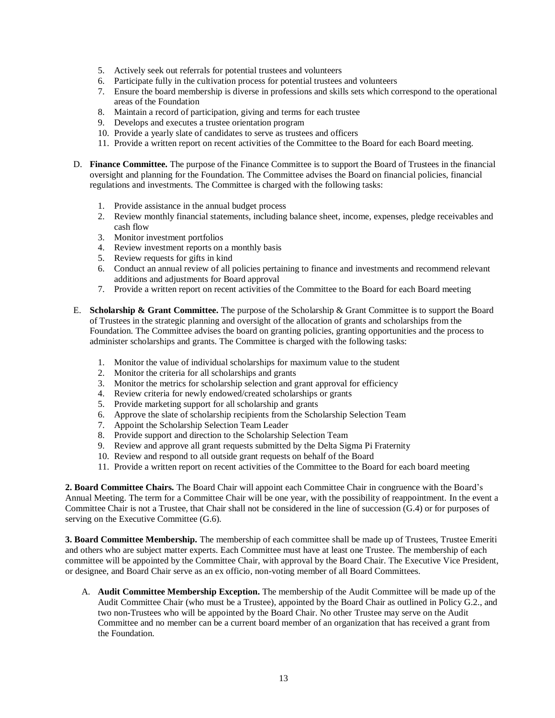- 5. Actively seek out referrals for potential trustees and volunteers
- 6. Participate fully in the cultivation process for potential trustees and volunteers
- 7. Ensure the board membership is diverse in professions and skills sets which correspond to the operational areas of the Foundation
- 8. Maintain a record of participation, giving and terms for each trustee
- 9. Develops and executes a trustee orientation program
- 10. Provide a yearly slate of candidates to serve as trustees and officers
- 11. Provide a written report on recent activities of the Committee to the Board for each Board meeting.
- D. **Finance Committee.** The purpose of the Finance Committee is to support the Board of Trustees in the financial oversight and planning for the Foundation. The Committee advises the Board on financial policies, financial regulations and investments. The Committee is charged with the following tasks:
	- 1. Provide assistance in the annual budget process
	- 2. Review monthly financial statements, including balance sheet, income, expenses, pledge receivables and cash flow
	- 3. Monitor investment portfolios
	- 4. Review investment reports on a monthly basis
	- 5. Review requests for gifts in kind
	- 6. Conduct an annual review of all policies pertaining to finance and investments and recommend relevant additions and adjustments for Board approval
	- 7. Provide a written report on recent activities of the Committee to the Board for each Board meeting
- E. **Scholarship & Grant Committee.** The purpose of the Scholarship & Grant Committee is to support the Board of Trustees in the strategic planning and oversight of the allocation of grants and scholarships from the Foundation. The Committee advises the board on granting policies, granting opportunities and the process to administer scholarships and grants. The Committee is charged with the following tasks:
	- 1. Monitor the value of individual scholarships for maximum value to the student
	- 2. Monitor the criteria for all scholarships and grants
	- 3. Monitor the metrics for scholarship selection and grant approval for efficiency
	- 4. Review criteria for newly endowed/created scholarships or grants
	- 5. Provide marketing support for all scholarship and grants
	- 6. Approve the slate of scholarship recipients from the Scholarship Selection Team
	- 7. Appoint the Scholarship Selection Team Leader
	- 8. Provide support and direction to the Scholarship Selection Team
	- 9. Review and approve all grant requests submitted by the Delta Sigma Pi Fraternity
	- 10. Review and respond to all outside grant requests on behalf of the Board
	- 11. Provide a written report on recent activities of the Committee to the Board for each board meeting

**2. Board Committee Chairs.** The Board Chair will appoint each Committee Chair in congruence with the Board's Annual Meeting. The term for a Committee Chair will be one year, with the possibility of reappointment. In the event a Committee Chair is not a Trustee, that Chair shall not be considered in the line of succession (G.4) or for purposes of serving on the Executive Committee (G.6).

**3. Board Committee Membership.** The membership of each committee shall be made up of Trustees, Trustee Emeriti and others who are subject matter experts. Each Committee must have at least one Trustee. The membership of each committee will be appointed by the Committee Chair, with approval by the Board Chair. The Executive Vice President, or designee, and Board Chair serve as an ex officio, non-voting member of all Board Committees.

A. **Audit Committee Membership Exception.** The membership of the Audit Committee will be made up of the Audit Committee Chair (who must be a Trustee), appointed by the Board Chair as outlined in Policy G.2., and two non-Trustees who will be appointed by the Board Chair. No other Trustee may serve on the Audit Committee and no member can be a current board member of an organization that has received a grant from the Foundation.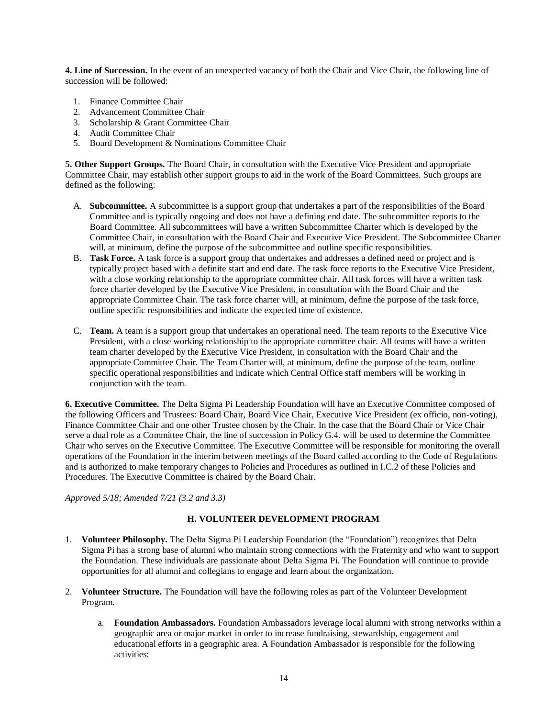**4. Line of Succession.** In the event of an unexpected vacancy of both the Chair and Vice Chair, the following line of succession will be followed:

- 1. Finance Committee Chair
- 2. Advancement Committee Chair
- 3. Scholarship & Grant Committee Chair
- 4. Audit Committee Chair
- 5. Board Development & Nominations Committee Chair

**5. Other Support Groups.** The Board Chair, in consultation with the Executive Vice President and appropriate Committee Chair, may establish other support groups to aid in the work of the Board Committees. Such groups are defined as the following:

- A. **Subcommittee.** A subcommittee is a support group that undertakes a part of the responsibilities of the Board Committee and is typically ongoing and does not have a defining end date. The subcommittee reports to the Board Committee. All subcommittees will have a written Subcommittee Charter which is developed by the Committee Chair, in consultation with the Board Chair and Executive Vice President. The Subcommittee Charter will, at minimum, define the purpose of the subcommittee and outline specific responsibilities.
- B. **Task Force.** A task force is a support group that undertakes and addresses a defined need or project and is typically project based with a definite start and end date. The task force reports to the Executive Vice President, with a close working relationship to the appropriate committee chair. All task forces will have a written task force charter developed by the Executive Vice President, in consultation with the Board Chair and the appropriate Committee Chair. The task force charter will, at minimum, define the purpose of the task force, outline specific responsibilities and indicate the expected time of existence.
- C. **Team.** A team is a support group that undertakes an operational need. The team reports to the Executive Vice President, with a close working relationship to the appropriate committee chair. All teams will have a written team charter developed by the Executive Vice President, in consultation with the Board Chair and the appropriate Committee Chair. The Team Charter will, at minimum, define the purpose of the team, outline specific operational responsibilities and indicate which Central Office staff members will be working in conjunction with the team.

**6. Executive Committee.** The Delta Sigma Pi Leadership Foundation will have an Executive Committee composed of the following Officers and Trustees: Board Chair, Board Vice Chair, Executive Vice President (ex officio, non-voting), Finance Committee Chair and one other Trustee chosen by the Chair. In the case that the Board Chair or Vice Chair serve a dual role as a Committee Chair, the line of succession in Policy G.4. will be used to determine the Committee Chair who serves on the Executive Committee. The Executive Committee will be responsible for monitoring the overall operations of the Foundation in the interim between meetings of the Board called according to the Code of Regulations and is authorized to make temporary changes to Policies and Procedures as outlined in I.C.2 of these Policies and Procedures. The Executive Committee is chaired by the Board Chair.

<span id="page-13-0"></span>*Approved 5/18; Amended 7/21 (3.2 and 3.3)*

### **H. VOLUNTEER DEVELOPMENT PROGRAM**

- 1. **Volunteer Philosophy.** The Delta Sigma Pi Leadership Foundation (the "Foundation") recognizes that Delta Sigma Pi has a strong base of alumni who maintain strong connections with the Fraternity and who want to support the Foundation. These individuals are passionate about Delta Sigma Pi. The Foundation will continue to provide opportunities for all alumni and collegians to engage and learn about the organization.
- 2. **Volunteer Structure.** The Foundation will have the following roles as part of the Volunteer Development Program.
	- a. **Foundation Ambassadors.** Foundation Ambassadors leverage local alumni with strong networks within a geographic area or major market in order to increase fundraising, stewardship, engagement and educational efforts in a geographic area. A Foundation Ambassador is responsible for the following activities: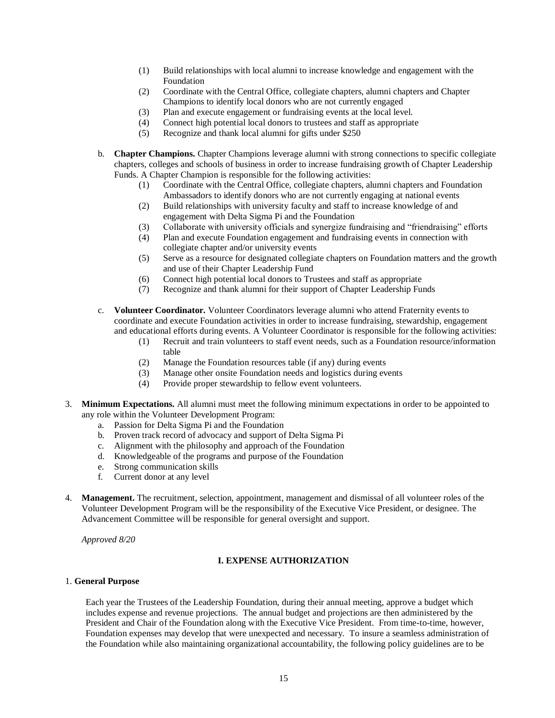- (1) Build relationships with local alumni to increase knowledge and engagement with the Foundation
- (2) Coordinate with the Central Office, collegiate chapters, alumni chapters and Chapter Champions to identify local donors who are not currently engaged
- (3) Plan and execute engagement or fundraising events at the local level.
- (4) Connect high potential local donors to trustees and staff as appropriate
- (5) Recognize and thank local alumni for gifts under \$250
- b. **Chapter Champions.** Chapter Champions leverage alumni with strong connections to specific collegiate chapters, colleges and schools of business in order to increase fundraising growth of Chapter Leadership Funds. A Chapter Champion is responsible for the following activities:
	- (1) Coordinate with the Central Office, collegiate chapters, alumni chapters and Foundation Ambassadors to identify donors who are not currently engaging at national events
	- (2) Build relationships with university faculty and staff to increase knowledge of and engagement with Delta Sigma Pi and the Foundation
	- (3) Collaborate with university officials and synergize fundraising and "friendraising" efforts
	- (4) Plan and execute Foundation engagement and fundraising events in connection with collegiate chapter and/or university events
	- (5) Serve as a resource for designated collegiate chapters on Foundation matters and the growth and use of their Chapter Leadership Fund
	- (6) Connect high potential local donors to Trustees and staff as appropriate
	- (7) Recognize and thank alumni for their support of Chapter Leadership Funds
- c. **Volunteer Coordinator.** Volunteer Coordinators leverage alumni who attend Fraternity events to coordinate and execute Foundation activities in order to increase fundraising, stewardship, engagement and educational efforts during events. A Volunteer Coordinator is responsible for the following activities:
	- (1) Recruit and train volunteers to staff event needs, such as a Foundation resource/information table
	- (2) Manage the Foundation resources table (if any) during events
	- (3) Manage other onsite Foundation needs and logistics during events
	- (4) Provide proper stewardship to fellow event volunteers.
- 3. **Minimum Expectations.** All alumni must meet the following minimum expectations in order to be appointed to any role within the Volunteer Development Program:
	- a. Passion for Delta Sigma Pi and the Foundation
	- b. Proven track record of advocacy and support of Delta Sigma Pi
	- c. Alignment with the philosophy and approach of the Foundation
	- d. Knowledgeable of the programs and purpose of the Foundation
	- e. Strong communication skills<br>f. Current donor at any level
	- Current donor at any level
- 4. **Management.** The recruitment, selection, appointment, management and dismissal of all volunteer roles of the Volunteer Development Program will be the responsibility of the Executive Vice President, or designee. The Advancement Committee will be responsible for general oversight and support.

*Approved 8/20*

### **I. EXPENSE AUTHORIZATION**

#### <span id="page-14-0"></span>1. **General Purpose**

Each year the Trustees of the Leadership Foundation, during their annual meeting, approve a budget which includes expense and revenue projections. The annual budget and projections are then administered by the President and Chair of the Foundation along with the Executive Vice President. From time-to-time, however, Foundation expenses may develop that were unexpected and necessary. To insure a seamless administration of the Foundation while also maintaining organizational accountability, the following policy guidelines are to be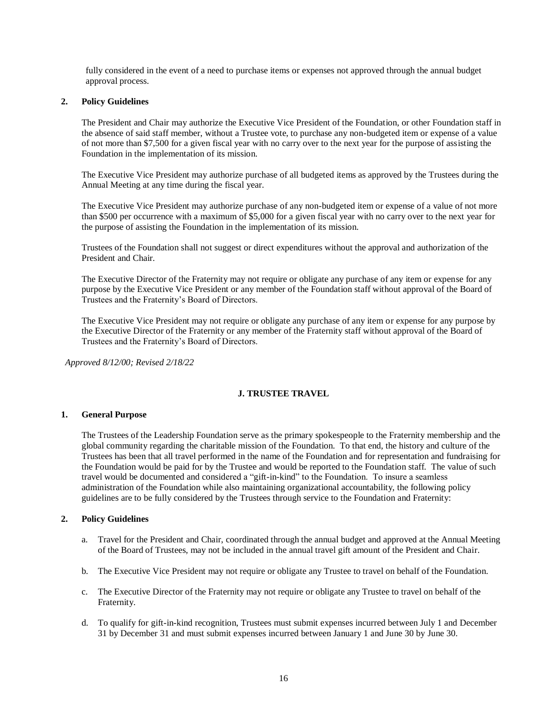fully considered in the event of a need to purchase items or expenses not approved through the annual budget approval process.

### **2. Policy Guidelines**

The President and Chair may authorize the Executive Vice President of the Foundation, or other Foundation staff in the absence of said staff member, without a Trustee vote, to purchase any non-budgeted item or expense of a value of not more than \$7,500 for a given fiscal year with no carry over to the next year for the purpose of assisting the Foundation in the implementation of its mission.

The Executive Vice President may authorize purchase of all budgeted items as approved by the Trustees during the Annual Meeting at any time during the fiscal year.

The Executive Vice President may authorize purchase of any non-budgeted item or expense of a value of not more than \$500 per occurrence with a maximum of \$5,000 for a given fiscal year with no carry over to the next year for the purpose of assisting the Foundation in the implementation of its mission.

Trustees of the Foundation shall not suggest or direct expenditures without the approval and authorization of the President and Chair.

The Executive Director of the Fraternity may not require or obligate any purchase of any item or expense for any purpose by the Executive Vice President or any member of the Foundation staff without approval of the Board of Trustees and the Fraternity's Board of Directors.

The Executive Vice President may not require or obligate any purchase of any item or expense for any purpose by the Executive Director of the Fraternity or any member of the Fraternity staff without approval of the Board of Trustees and the Fraternity's Board of Directors.

*Approved 8/12/00; Revised 2/18/22*

# **J. TRUSTEE TRAVEL**

### <span id="page-15-0"></span>**1. General Purpose**

The Trustees of the Leadership Foundation serve as the primary spokespeople to the Fraternity membership and the global community regarding the charitable mission of the Foundation. To that end, the history and culture of the Trustees has been that all travel performed in the name of the Foundation and for representation and fundraising for the Foundation would be paid for by the Trustee and would be reported to the Foundation staff. The value of such travel would be documented and considered a "gift-in-kind" to the Foundation. To insure a seamless administration of the Foundation while also maintaining organizational accountability, the following policy guidelines are to be fully considered by the Trustees through service to the Foundation and Fraternity:

#### **2. Policy Guidelines**

- a. Travel for the President and Chair, coordinated through the annual budget and approved at the Annual Meeting of the Board of Trustees, may not be included in the annual travel gift amount of the President and Chair.
- b. The Executive Vice President may not require or obligate any Trustee to travel on behalf of the Foundation.
- c. The Executive Director of the Fraternity may not require or obligate any Trustee to travel on behalf of the Fraternity.
- d. To qualify for gift-in-kind recognition, Trustees must submit expenses incurred between July 1 and December 31 by December 31 and must submit expenses incurred between January 1 and June 30 by June 30.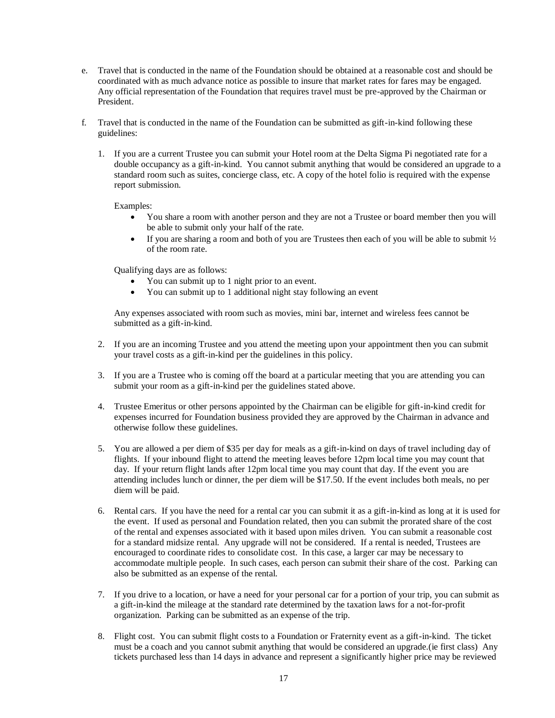- e. Travel that is conducted in the name of the Foundation should be obtained at a reasonable cost and should be coordinated with as much advance notice as possible to insure that market rates for fares may be engaged. Any official representation of the Foundation that requires travel must be pre-approved by the Chairman or President.
- f. Travel that is conducted in the name of the Foundation can be submitted as gift-in-kind following these guidelines:
	- 1. If you are a current Trustee you can submit your Hotel room at the Delta Sigma Pi negotiated rate for a double occupancy as a gift-in-kind. You cannot submit anything that would be considered an upgrade to a standard room such as suites, concierge class, etc. A copy of the hotel folio is required with the expense report submission.

Examples:

- You share a room with another person and they are not a Trustee or board member then you will be able to submit only your half of the rate.
- If you are sharing a room and both of you are Trustees then each of you will be able to submit  $\frac{1}{2}$ of the room rate.

Qualifying days are as follows:

- You can submit up to 1 night prior to an event.
- You can submit up to 1 additional night stay following an event

Any expenses associated with room such as movies, mini bar, internet and wireless fees cannot be submitted as a gift-in-kind.

- 2. If you are an incoming Trustee and you attend the meeting upon your appointment then you can submit your travel costs as a gift-in-kind per the guidelines in this policy.
- 3. If you are a Trustee who is coming off the board at a particular meeting that you are attending you can submit your room as a gift-in-kind per the guidelines stated above.
- 4. Trustee Emeritus or other persons appointed by the Chairman can be eligible for gift-in-kind credit for expenses incurred for Foundation business provided they are approved by the Chairman in advance and otherwise follow these guidelines.
- 5. You are allowed a per diem of \$35 per day for meals as a gift-in-kind on days of travel including day of flights. If your inbound flight to attend the meeting leaves before 12pm local time you may count that day. If your return flight lands after 12pm local time you may count that day. If the event you are attending includes lunch or dinner, the per diem will be \$17.50. If the event includes both meals, no per diem will be paid.
- 6. Rental cars. If you have the need for a rental car you can submit it as a gift-in-kind as long at it is used for the event. If used as personal and Foundation related, then you can submit the prorated share of the cost of the rental and expenses associated with it based upon miles driven. You can submit a reasonable cost for a standard midsize rental. Any upgrade will not be considered. If a rental is needed, Trustees are encouraged to coordinate rides to consolidate cost. In this case, a larger car may be necessary to accommodate multiple people. In such cases, each person can submit their share of the cost. Parking can also be submitted as an expense of the rental.
- 7. If you drive to a location, or have a need for your personal car for a portion of your trip, you can submit as a gift-in-kind the mileage at the standard rate determined by the taxation laws for a not-for-profit organization. Parking can be submitted as an expense of the trip.
- 8. Flight cost. You can submit flight costs to a Foundation or Fraternity event as a gift-in-kind. The ticket must be a coach and you cannot submit anything that would be considered an upgrade.(ie first class) Any tickets purchased less than 14 days in advance and represent a significantly higher price may be reviewed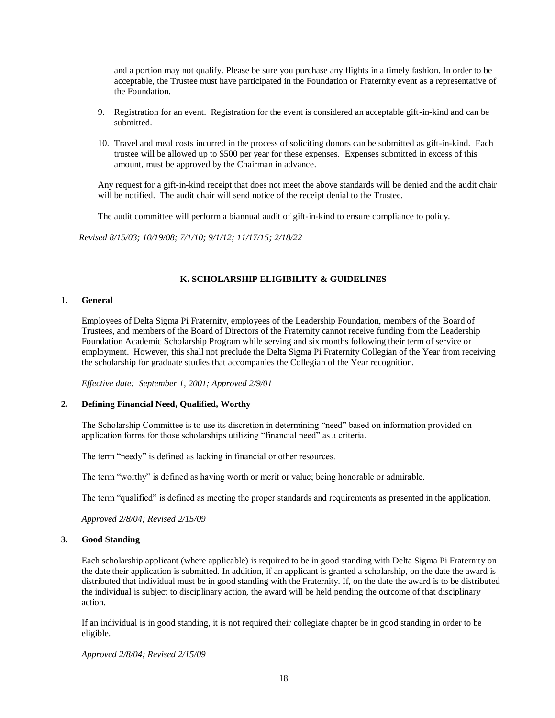and a portion may not qualify. Please be sure you purchase any flights in a timely fashion. In order to be acceptable, the Trustee must have participated in the Foundation or Fraternity event as a representative of the Foundation.

- 9. Registration for an event. Registration for the event is considered an acceptable gift-in-kind and can be submitted.
- 10. Travel and meal costs incurred in the process of soliciting donors can be submitted as gift-in-kind. Each trustee will be allowed up to \$500 per year for these expenses. Expenses submitted in excess of this amount, must be approved by the Chairman in advance.

Any request for a gift-in-kind receipt that does not meet the above standards will be denied and the audit chair will be notified. The audit chair will send notice of the receipt denial to the Trustee.

The audit committee will perform a biannual audit of gift-in-kind to ensure compliance to policy.

 *Revised 8/15/03; 10/19/08; 7/1/10; 9/1/12; 11/17/15; 2/18/22*

# **K. SCHOLARSHIP ELIGIBILITY & GUIDELINES**

### <span id="page-17-0"></span>**1. General**

Employees of Delta Sigma Pi Fraternity, employees of the Leadership Foundation, members of the Board of Trustees, and members of the Board of Directors of the Fraternity cannot receive funding from the Leadership Foundation Academic Scholarship Program while serving and six months following their term of service or employment. However, this shall not preclude the Delta Sigma Pi Fraternity Collegian of the Year from receiving the scholarship for graduate studies that accompanies the Collegian of the Year recognition.

*Effective date: September 1, 2001; Approved 2/9/01*

# **2. Defining Financial Need, Qualified, Worthy**

The Scholarship Committee is to use its discretion in determining "need" based on information provided on application forms for those scholarships utilizing "financial need" as a criteria.

The term "needy" is defined as lacking in financial or other resources.

The term "worthy" is defined as having worth or merit or value; being honorable or admirable.

The term "qualified" is defined as meeting the proper standards and requirements as presented in the application.

*Approved 2/8/04; Revised 2/15/09*

#### **3. Good Standing**

Each scholarship applicant (where applicable) is required to be in good standing with Delta Sigma Pi Fraternity on the date their application is submitted. In addition, if an applicant is granted a scholarship, on the date the award is distributed that individual must be in good standing with the Fraternity. If, on the date the award is to be distributed the individual is subject to disciplinary action, the award will be held pending the outcome of that disciplinary action.

If an individual is in good standing, it is not required their collegiate chapter be in good standing in order to be eligible.

*Approved 2/8/04; Revised 2/15/09*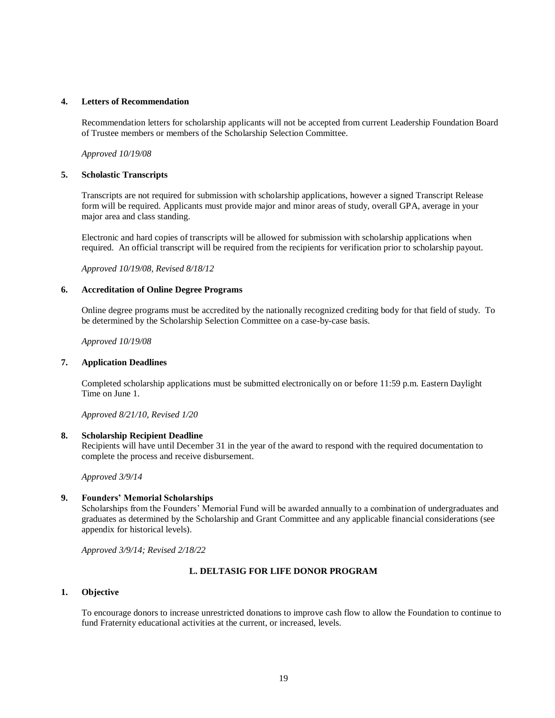#### **4. Letters of Recommendation**

Recommendation letters for scholarship applicants will not be accepted from current Leadership Foundation Board of Trustee members or members of the Scholarship Selection Committee.

*Approved 10/19/08*

#### **5. Scholastic Transcripts**

Transcripts are not required for submission with scholarship applications, however a signed Transcript Release form will be required. Applicants must provide major and minor areas of study, overall GPA, average in your major area and class standing.

Electronic and hard copies of transcripts will be allowed for submission with scholarship applications when required. An official transcript will be required from the recipients for verification prior to scholarship payout.

*Approved 10/19/08, Revised 8/18/12*

#### **6. Accreditation of Online Degree Programs**

Online degree programs must be accredited by the nationally recognized crediting body for that field of study. To be determined by the Scholarship Selection Committee on a case-by-case basis.

*Approved 10/19/08*

#### **7. Application Deadlines**

Completed scholarship applications must be submitted electronically on or before 11:59 p.m. Eastern Daylight Time on June 1.

*Approved 8/21/10, Revised 1/20*

#### **8. Scholarship Recipient Deadline**

Recipients will have until December 31 in the year of the award to respond with the required documentation to complete the process and receive disbursement.

*Approved 3/9/14*

### **9. Founders' Memorial Scholarships**

Scholarships from the Founders' Memorial Fund will be awarded annually to a combination of undergraduates and graduates as determined by the Scholarship and Grant Committee and any applicable financial considerations (see appendix for historical levels).

*Approved 3/9/14; Revised 2/18/22*

### **L. DELTASIG FOR LIFE DONOR PROGRAM**

#### <span id="page-18-0"></span>**1. Objective**

To encourage donors to increase unrestricted donations to improve cash flow to allow the Foundation to continue to fund Fraternity educational activities at the current, or increased, levels.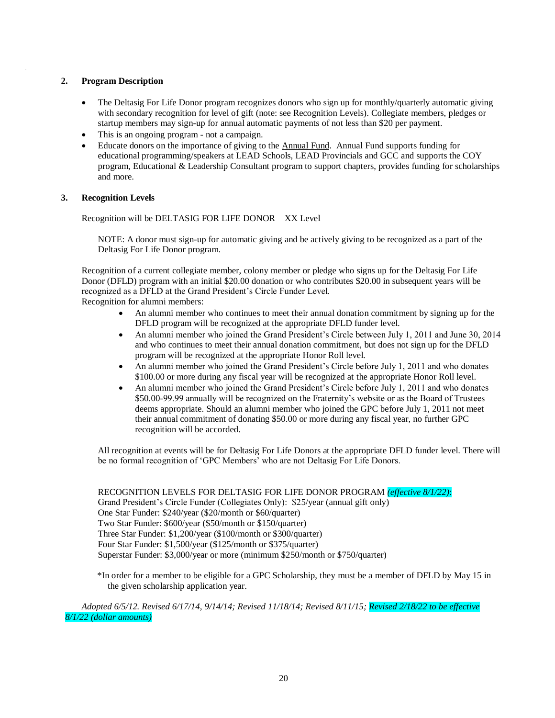### **2. Program Description**

- The Deltasig For Life Donor program recognizes donors who sign up for monthly/quarterly automatic giving with secondary recognition for level of gift (note: see Recognition Levels). Collegiate members, pledges or startup members may sign-up for annual automatic payments of not less than \$20 per payment.
- This is an ongoing program not a campaign.
- Educate donors on the importance of giving to the Annual Fund. Annual Fund supports funding for educational programming/speakers at LEAD Schools, LEAD Provincials and GCC and supports the COY program, Educational & Leadership Consultant program to support chapters, provides funding for scholarships and more.

#### **3. Recognition Levels**

Recognition will be DELTASIG FOR LIFE DONOR – XX Level

NOTE: A donor must sign-up for automatic giving and be actively giving to be recognized as a part of the Deltasig For Life Donor program.

Recognition of a current collegiate member, colony member or pledge who signs up for the Deltasig For Life Donor (DFLD) program with an initial \$20.00 donation or who contributes \$20.00 in subsequent years will be recognized as a DFLD at the Grand President's Circle Funder Level.

Recognition for alumni members:

- An alumni member who continues to meet their annual donation commitment by signing up for the DFLD program will be recognized at the appropriate DFLD funder level.
- An alumni member who joined the Grand President's Circle between July 1, 2011 and June 30, 2014 and who continues to meet their annual donation commitment, but does not sign up for the DFLD program will be recognized at the appropriate Honor Roll level.
- An alumni member who joined the Grand President's Circle before July 1, 2011 and who donates \$100.00 or more during any fiscal year will be recognized at the appropriate Honor Roll level.
- An alumni member who joined the Grand President's Circle before July 1, 2011 and who donates \$50.00-99.99 annually will be recognized on the Fraternity's website or as the Board of Trustees deems appropriate. Should an alumni member who joined the GPC before July 1, 2011 not meet their annual commitment of donating \$50.00 or more during any fiscal year, no further GPC recognition will be accorded.

All recognition at events will be for Deltasig For Life Donors at the appropriate DFLD funder level. There will be no formal recognition of 'GPC Members' who are not Deltasig For Life Donors.

RECOGNITION LEVELS FOR DELTASIG FOR LIFE DONOR PROGRAM *(effective 8/1/22)*: Grand President's Circle Funder (Collegiates Only): \$25/year (annual gift only) One Star Funder: \$240/year (\$20/month or \$60/quarter) Two Star Funder: \$600/year (\$50/month or \$150/quarter) Three Star Funder: \$1,200/year (\$100/month or \$300/quarter) Four Star Funder: \$1,500/year (\$125/month or \$375/quarter) Superstar Funder: \$3,000/year or more (minimum \$250/month or \$750/quarter)

 \*In order for a member to be eligible for a GPC Scholarship, they must be a member of DFLD by May 15 in the given scholarship application year.

*Adopted 6/5/12. Revised 6/17/14, 9/14/14; Revised 11/18/14; Revised 8/11/15; Revised 2/18/22 to be effective 8/1/22 (dollar amounts)*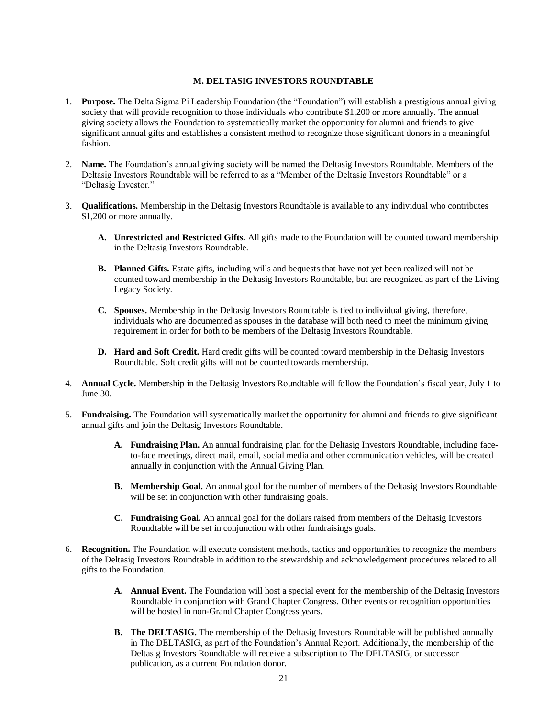### **M. DELTASIG INVESTORS ROUNDTABLE**

- <span id="page-20-0"></span>1. **Purpose.** The Delta Sigma Pi Leadership Foundation (the "Foundation") will establish a prestigious annual giving society that will provide recognition to those individuals who contribute \$1,200 or more annually. The annual giving society allows the Foundation to systematically market the opportunity for alumni and friends to give significant annual gifts and establishes a consistent method to recognize those significant donors in a meaningful fashion.
- 2. **Name.** The Foundation's annual giving society will be named the Deltasig Investors Roundtable. Members of the Deltasig Investors Roundtable will be referred to as a "Member of the Deltasig Investors Roundtable" or a "Deltasig Investor."
- 3. **Qualifications.** Membership in the Deltasig Investors Roundtable is available to any individual who contributes \$1,200 or more annually.
	- **A. Unrestricted and Restricted Gifts.** All gifts made to the Foundation will be counted toward membership in the Deltasig Investors Roundtable.
	- **B. Planned Gifts.** Estate gifts, including wills and bequests that have not yet been realized will not be counted toward membership in the Deltasig Investors Roundtable, but are recognized as part of the Living Legacy Society.
	- **C. Spouses.** Membership in the Deltasig Investors Roundtable is tied to individual giving, therefore, individuals who are documented as spouses in the database will both need to meet the minimum giving requirement in order for both to be members of the Deltasig Investors Roundtable.
	- **D. Hard and Soft Credit.** Hard credit gifts will be counted toward membership in the Deltasig Investors Roundtable. Soft credit gifts will not be counted towards membership.
- 4. **Annual Cycle.** Membership in the Deltasig Investors Roundtable will follow the Foundation's fiscal year, July 1 to June 30.
- 5. **Fundraising.** The Foundation will systematically market the opportunity for alumni and friends to give significant annual gifts and join the Deltasig Investors Roundtable.
	- **A. Fundraising Plan.** An annual fundraising plan for the Deltasig Investors Roundtable, including faceto-face meetings, direct mail, email, social media and other communication vehicles, will be created annually in conjunction with the Annual Giving Plan.
	- **B. Membership Goal.** An annual goal for the number of members of the Deltasig Investors Roundtable will be set in conjunction with other fundraising goals.
	- **C. Fundraising Goal.** An annual goal for the dollars raised from members of the Deltasig Investors Roundtable will be set in conjunction with other fundraisings goals.
- 6. **Recognition.** The Foundation will execute consistent methods, tactics and opportunities to recognize the members of the Deltasig Investors Roundtable in addition to the stewardship and acknowledgement procedures related to all gifts to the Foundation.
	- **A. Annual Event.** The Foundation will host a special event for the membership of the Deltasig Investors Roundtable in conjunction with Grand Chapter Congress. Other events or recognition opportunities will be hosted in non-Grand Chapter Congress years.
	- **B. The DELTASIG.** The membership of the Deltasig Investors Roundtable will be published annually in The DELTASIG, as part of the Foundation's Annual Report. Additionally, the membership of the Deltasig Investors Roundtable will receive a subscription to The DELTASIG, or successor publication, as a current Foundation donor.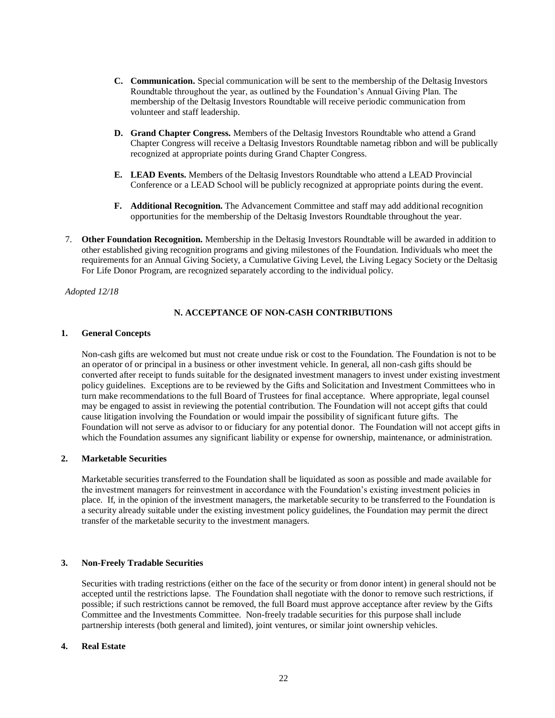- **C. Communication.** Special communication will be sent to the membership of the Deltasig Investors Roundtable throughout the year, as outlined by the Foundation's Annual Giving Plan. The membership of the Deltasig Investors Roundtable will receive periodic communication from volunteer and staff leadership.
- **D. Grand Chapter Congress.** Members of the Deltasig Investors Roundtable who attend a Grand Chapter Congress will receive a Deltasig Investors Roundtable nametag ribbon and will be publically recognized at appropriate points during Grand Chapter Congress.
- **E. LEAD Events.** Members of the Deltasig Investors Roundtable who attend a LEAD Provincial Conference or a LEAD School will be publicly recognized at appropriate points during the event.
- **F. Additional Recognition.** The Advancement Committee and staff may add additional recognition opportunities for the membership of the Deltasig Investors Roundtable throughout the year.
- 7. **Other Foundation Recognition.** Membership in the Deltasig Investors Roundtable will be awarded in addition to other established giving recognition programs and giving milestones of the Foundation. Individuals who meet the requirements for an Annual Giving Society, a Cumulative Giving Level, the Living Legacy Society or the Deltasig For Life Donor Program, are recognized separately according to the individual policy.

<span id="page-21-0"></span>*Adopted 12/18*

# **N. ACCEPTANCE OF NON-CASH CONTRIBUTIONS**

# **1. General Concepts**

Non-cash gifts are welcomed but must not create undue risk or cost to the Foundation. The Foundation is not to be an operator of or principal in a business or other investment vehicle. In general, all non-cash gifts should be converted after receipt to funds suitable for the designated investment managers to invest under existing investment policy guidelines. Exceptions are to be reviewed by the Gifts and Solicitation and Investment Committees who in turn make recommendations to the full Board of Trustees for final acceptance. Where appropriate, legal counsel may be engaged to assist in reviewing the potential contribution. The Foundation will not accept gifts that could cause litigation involving the Foundation or would impair the possibility of significant future gifts. The Foundation will not serve as advisor to or fiduciary for any potential donor. The Foundation will not accept gifts in which the Foundation assumes any significant liability or expense for ownership, maintenance, or administration.

# **2. Marketable Securities**

Marketable securities transferred to the Foundation shall be liquidated as soon as possible and made available for the investment managers for reinvestment in accordance with the Foundation's existing investment policies in place. If, in the opinion of the investment managers, the marketable security to be transferred to the Foundation is a security already suitable under the existing investment policy guidelines, the Foundation may permit the direct transfer of the marketable security to the investment managers.

# **3. Non-Freely Tradable Securities**

Securities with trading restrictions (either on the face of the security or from donor intent) in general should not be accepted until the restrictions lapse. The Foundation shall negotiate with the donor to remove such restrictions, if possible; if such restrictions cannot be removed, the full Board must approve acceptance after review by the Gifts Committee and the Investments Committee. Non-freely tradable securities for this purpose shall include partnership interests (both general and limited), joint ventures, or similar joint ownership vehicles.

#### **4. Real Estate**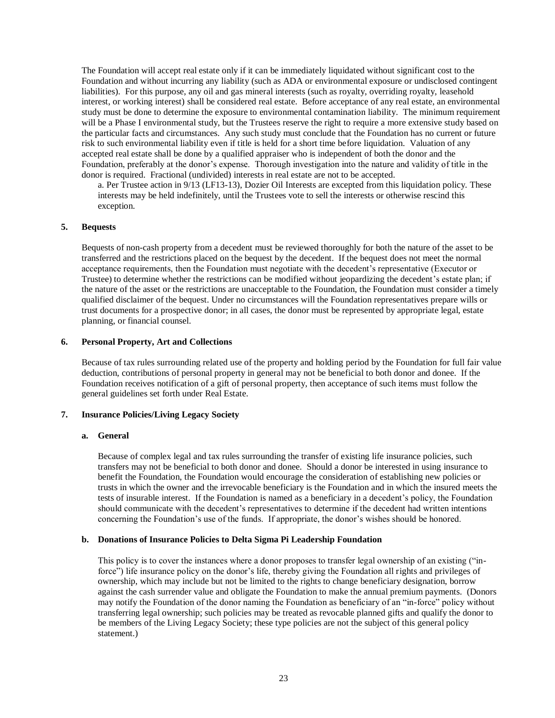The Foundation will accept real estate only if it can be immediately liquidated without significant cost to the Foundation and without incurring any liability (such as ADA or environmental exposure or undisclosed contingent liabilities). For this purpose, any oil and gas mineral interests (such as royalty, overriding royalty, leasehold interest, or working interest) shall be considered real estate. Before acceptance of any real estate, an environmental study must be done to determine the exposure to environmental contamination liability. The minimum requirement will be a Phase I environmental study, but the Trustees reserve the right to require a more extensive study based on the particular facts and circumstances. Any such study must conclude that the Foundation has no current or future risk to such environmental liability even if title is held for a short time before liquidation. Valuation of any accepted real estate shall be done by a qualified appraiser who is independent of both the donor and the Foundation, preferably at the donor's expense. Thorough investigation into the nature and validity of title in the donor is required. Fractional (undivided) interests in real estate are not to be accepted.

a. Per Trustee action in 9/13 (LF13-13), Dozier Oil Interests are excepted from this liquidation policy. These interests may be held indefinitely, until the Trustees vote to sell the interests or otherwise rescind this exception.

#### **5. Bequests**

Bequests of non-cash property from a decedent must be reviewed thoroughly for both the nature of the asset to be transferred and the restrictions placed on the bequest by the decedent. If the bequest does not meet the normal acceptance requirements, then the Foundation must negotiate with the decedent's representative (Executor or Trustee) to determine whether the restrictions can be modified without jeopardizing the decedent's estate plan; if the nature of the asset or the restrictions are unacceptable to the Foundation, the Foundation must consider a timely qualified disclaimer of the bequest. Under no circumstances will the Foundation representatives prepare wills or trust documents for a prospective donor; in all cases, the donor must be represented by appropriate legal, estate planning, or financial counsel.

#### **6. Personal Property, Art and Collections**

Because of tax rules surrounding related use of the property and holding period by the Foundation for full fair value deduction, contributions of personal property in general may not be beneficial to both donor and donee. If the Foundation receives notification of a gift of personal property, then acceptance of such items must follow the general guidelines set forth under Real Estate.

### **7. Insurance Policies/Living Legacy Society**

#### **a. General**

Because of complex legal and tax rules surrounding the transfer of existing life insurance policies, such transfers may not be beneficial to both donor and donee. Should a donor be interested in using insurance to benefit the Foundation, the Foundation would encourage the consideration of establishing new policies or trusts in which the owner and the irrevocable beneficiary is the Foundation and in which the insured meets the tests of insurable interest. If the Foundation is named as a beneficiary in a decedent's policy, the Foundation should communicate with the decedent's representatives to determine if the decedent had written intentions concerning the Foundation's use of the funds. If appropriate, the donor's wishes should be honored.

#### **b. Donations of Insurance Policies to Delta Sigma Pi Leadership Foundation**

This policy is to cover the instances where a donor proposes to transfer legal ownership of an existing ("inforce") life insurance policy on the donor's life, thereby giving the Foundation all rights and privileges of ownership, which may include but not be limited to the rights to change beneficiary designation, borrow against the cash surrender value and obligate the Foundation to make the annual premium payments. (Donors may notify the Foundation of the donor naming the Foundation as beneficiary of an "in-force" policy without transferring legal ownership; such policies may be treated as revocable planned gifts and qualify the donor to be members of the Living Legacy Society; these type policies are not the subject of this general policy statement.)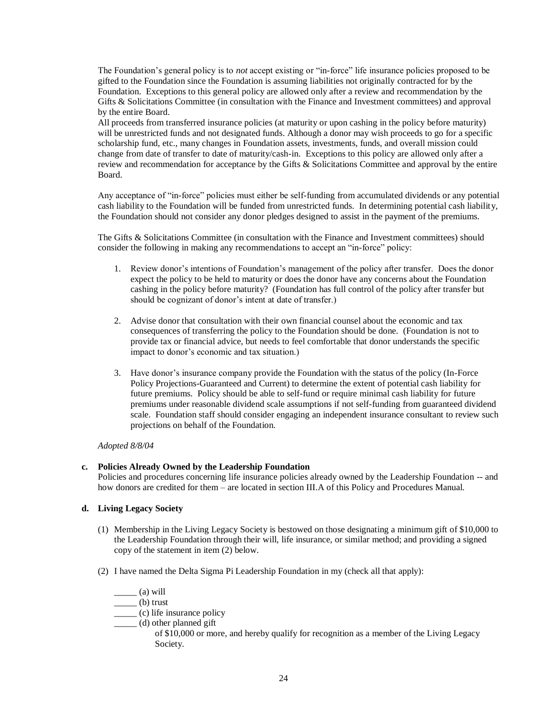The Foundation's general policy is to *not* accept existing or "in-force" life insurance policies proposed to be gifted to the Foundation since the Foundation is assuming liabilities not originally contracted for by the Foundation. Exceptions to this general policy are allowed only after a review and recommendation by the Gifts & Solicitations Committee (in consultation with the Finance and Investment committees) and approval by the entire Board.

All proceeds from transferred insurance policies (at maturity or upon cashing in the policy before maturity) will be unrestricted funds and not designated funds. Although a donor may wish proceeds to go for a specific scholarship fund, etc., many changes in Foundation assets, investments, funds, and overall mission could change from date of transfer to date of maturity/cash-in. Exceptions to this policy are allowed only after a review and recommendation for acceptance by the Gifts & Solicitations Committee and approval by the entire Board.

Any acceptance of "in-force" policies must either be self-funding from accumulated dividends or any potential cash liability to the Foundation will be funded from unrestricted funds. In determining potential cash liability, the Foundation should not consider any donor pledges designed to assist in the payment of the premiums.

The Gifts & Solicitations Committee (in consultation with the Finance and Investment committees) should consider the following in making any recommendations to accept an "in-force" policy:

- 1. Review donor's intentions of Foundation's management of the policy after transfer. Does the donor expect the policy to be held to maturity or does the donor have any concerns about the Foundation cashing in the policy before maturity? (Foundation has full control of the policy after transfer but should be cognizant of donor's intent at date of transfer.)
- 2. Advise donor that consultation with their own financial counsel about the economic and tax consequences of transferring the policy to the Foundation should be done. (Foundation is not to provide tax or financial advice, but needs to feel comfortable that donor understands the specific impact to donor's economic and tax situation.)
- 3. Have donor's insurance company provide the Foundation with the status of the policy (In-Force Policy Projections-Guaranteed and Current) to determine the extent of potential cash liability for future premiums. Policy should be able to self-fund or require minimal cash liability for future premiums under reasonable dividend scale assumptions if not self-funding from guaranteed dividend scale. Foundation staff should consider engaging an independent insurance consultant to review such projections on behalf of the Foundation.

#### *Adopted 8/8/04*

# **c. Policies Already Owned by the Leadership Foundation**

Policies and procedures concerning life insurance policies already owned by the Leadership Foundation -- and how donors are credited for them – are located in section III.A of this Policy and Procedures Manual.

# **d. Living Legacy Society**

- (1) Membership in the Living Legacy Society is bestowed on those designating a minimum gift of \$10,000 to the Leadership Foundation through their will, life insurance, or similar method; and providing a signed copy of the statement in item (2) below.
- (2) I have named the Delta Sigma Pi Leadership Foundation in my (check all that apply):

 $\frac{1}{\sqrt{2}}$  (a) will

 $\rule{1em}{0}$  trust

- \_\_\_\_\_ (c) life insurance policy
- \_\_\_\_\_ (d) other planned gift

of \$10,000 or more, and hereby qualify for recognition as a member of the Living Legacy Society.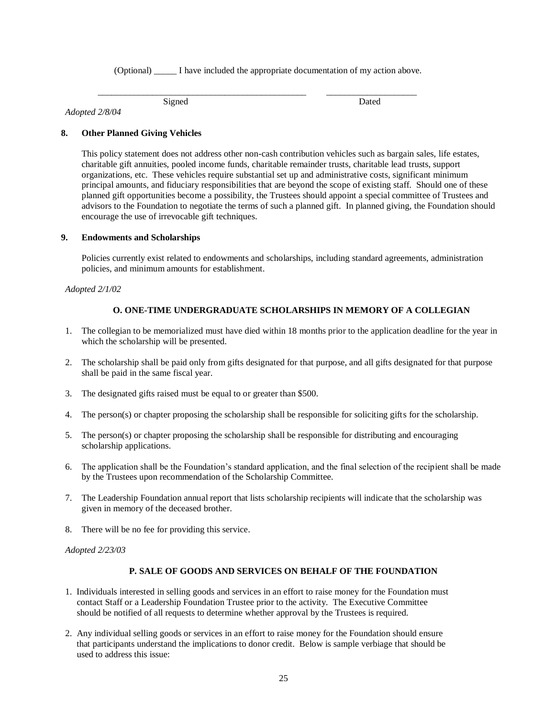(Optional) \_\_\_\_\_ I have included the appropriate documentation of my action above.

\_\_\_\_\_\_\_\_\_\_\_\_\_\_\_\_\_\_\_\_\_\_\_\_\_\_\_\_\_\_\_\_\_\_\_\_\_\_\_\_\_\_\_\_\_\_ \_\_\_\_\_\_\_\_\_\_\_\_\_\_\_\_\_\_\_\_

*Adopted 2/8/04*

Signed Dated

# **8. Other Planned Giving Vehicles**

This policy statement does not address other non-cash contribution vehicles such as bargain sales, life estates, charitable gift annuities, pooled income funds, charitable remainder trusts, charitable lead trusts, support organizations, etc. These vehicles require substantial set up and administrative costs, significant minimum principal amounts, and fiduciary responsibilities that are beyond the scope of existing staff. Should one of these planned gift opportunities become a possibility, the Trustees should appoint a special committee of Trustees and advisors to the Foundation to negotiate the terms of such a planned gift. In planned giving, the Foundation should encourage the use of irrevocable gift techniques.

### **9. Endowments and Scholarships**

Policies currently exist related to endowments and scholarships, including standard agreements, administration policies, and minimum amounts for establishment.

### <span id="page-24-0"></span>*Adopted 2/1/02*

# **O. ONE-TIME UNDERGRADUATE SCHOLARSHIPS IN MEMORY OF A COLLEGIAN**

- 1. The collegian to be memorialized must have died within 18 months prior to the application deadline for the year in which the scholarship will be presented.
- 2. The scholarship shall be paid only from gifts designated for that purpose, and all gifts designated for that purpose shall be paid in the same fiscal year.
- 3. The designated gifts raised must be equal to or greater than \$500.
- 4. The person(s) or chapter proposing the scholarship shall be responsible for soliciting gifts for the scholarship.
- 5. The person(s) or chapter proposing the scholarship shall be responsible for distributing and encouraging scholarship applications.
- 6. The application shall be the Foundation's standard application, and the final selection of the recipient shall be made by the Trustees upon recommendation of the Scholarship Committee.
- 7. The Leadership Foundation annual report that lists scholarship recipients will indicate that the scholarship was given in memory of the deceased brother.
- 8. There will be no fee for providing this service.

<span id="page-24-1"></span>*Adopted 2/23/03*

# **P. SALE OF GOODS AND SERVICES ON BEHALF OF THE FOUNDATION**

- 1. Individuals interested in selling goods and services in an effort to raise money for the Foundation must contact Staff or a Leadership Foundation Trustee prior to the activity. The Executive Committee should be notified of all requests to determine whether approval by the Trustees is required.
- 2. Any individual selling goods or services in an effort to raise money for the Foundation should ensure that participants understand the implications to donor credit. Below is sample verbiage that should be used to address this issue: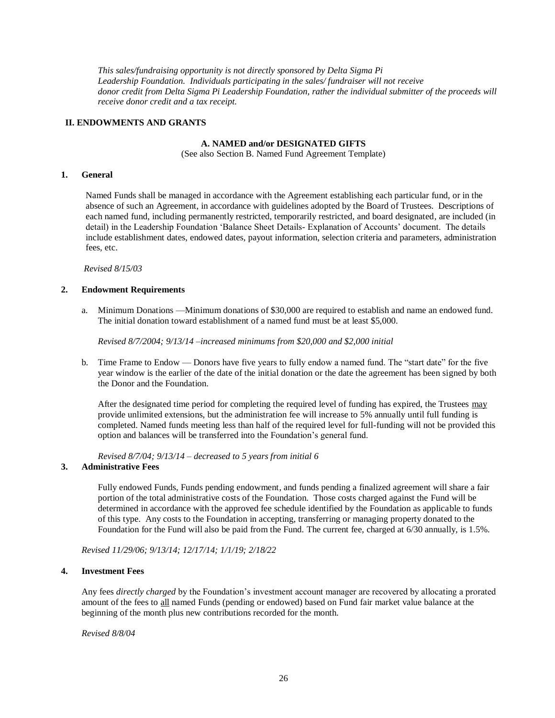*This sales/fundraising opportunity is not directly sponsored by Delta Sigma Pi Leadership Foundation. Individuals participating in the sales/ fundraiser will not receive donor credit from Delta Sigma Pi Leadership Foundation, rather the individual submitter of the proceeds will receive donor credit and a tax receipt.*

### <span id="page-25-1"></span><span id="page-25-0"></span>**II. ENDOWMENTS AND GRANTS**

#### **A. NAMED and/or DESIGNATED GIFTS**

(See also Section B. Named Fund Agreement Template)

### **1. General**

Named Funds shall be managed in accordance with the Agreement establishing each particular fund, or in the absence of such an Agreement, in accordance with guidelines adopted by the Board of Trustees. Descriptions of each named fund, including permanently restricted, temporarily restricted, and board designated, are included (in detail) in the Leadership Foundation 'Balance Sheet Details- Explanation of Accounts' document. The details include establishment dates, endowed dates, payout information, selection criteria and parameters, administration fees, etc.

*Revised 8/15/03*

#### **2. Endowment Requirements**

a. Minimum Donations —Minimum donations of \$30,000 are required to establish and name an endowed fund. The initial donation toward establishment of a named fund must be at least \$5,000.

*Revised 8/7/2004; 9/13/14 –increased minimums from \$20,000 and \$2,000 initial*

b. Time Frame to Endow — Donors have five years to fully endow a named fund. The "start date" for the five year window is the earlier of the date of the initial donation or the date the agreement has been signed by both the Donor and the Foundation.

After the designated time period for completing the required level of funding has expired, the Trustees may provide unlimited extensions, but the administration fee will increase to 5% annually until full funding is completed. Named funds meeting less than half of the required level for full-funding will not be provided this option and balances will be transferred into the Foundation's general fund.

*Revised 8/7/04; 9/13/14 – decreased to 5 years from initial 6*

#### **3. Administrative Fees**

Fully endowed Funds, Funds pending endowment, and funds pending a finalized agreement will share a fair portion of the total administrative costs of the Foundation. Those costs charged against the Fund will be determined in accordance with the approved fee schedule identified by the Foundation as applicable to funds of this type. Any costs to the Foundation in accepting, transferring or managing property donated to the Foundation for the Fund will also be paid from the Fund. The current fee, charged at 6/30 annually, is 1.5%.

*Revised 11/29/06; 9/13/14; 12/17/14; 1/1/19; 2/18/22*

# **4. Investment Fees**

Any fees *directly charged* by the Foundation's investment account manager are recovered by allocating a prorated amount of the fees to all named Funds (pending or endowed) based on Fund fair market value balance at the beginning of the month plus new contributions recorded for the month.

*Revised 8/8/04*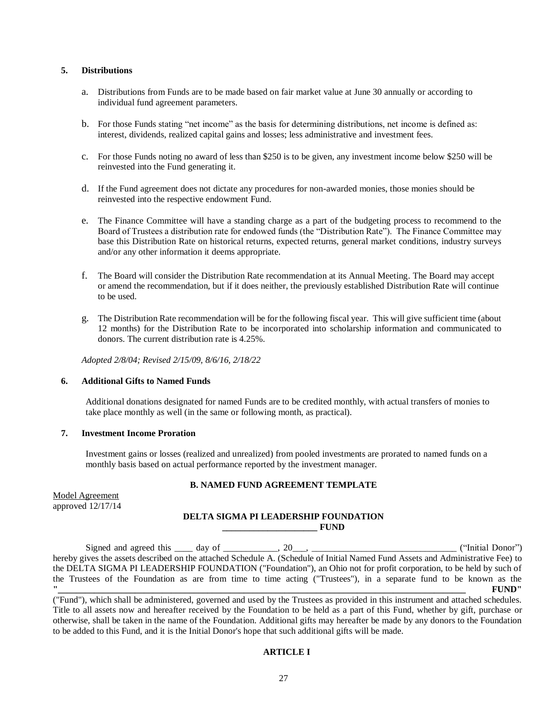### <span id="page-26-0"></span>**5. Distributions**

- a. Distributions from Funds are to be made based on fair market value at June 30 annually or according to individual fund agreement parameters.
- b. For those Funds stating "net income" as the basis for determining distributions, net income is defined as: interest, dividends, realized capital gains and losses; less administrative and investment fees.
- c. For those Funds noting no award of less than \$250 is to be given, any investment income below \$250 will be reinvested into the Fund generating it.
- d. If the Fund agreement does not dictate any procedures for non-awarded monies, those monies should be reinvested into the respective endowment Fund.
- e. The Finance Committee will have a standing charge as a part of the budgeting process to recommend to the Board of Trustees a distribution rate for endowed funds (the "Distribution Rate"). The Finance Committee may base this Distribution Rate on historical returns, expected returns, general market conditions, industry surveys and/or any other information it deems appropriate.
- f. The Board will consider the Distribution Rate recommendation at its Annual Meeting. The Board may accept or amend the recommendation, but if it does neither, the previously established Distribution Rate will continue to be used.
- g. The Distribution Rate recommendation will be for the following fiscal year. This will give sufficient time (about 12 months) for the Distribution Rate to be incorporated into scholarship information and communicated to donors. The current distribution rate is 4.25%.

*Adopted 2/8/04; Revised 2/15/09, 8/6/16, 2/18/22*

#### **6. Additional Gifts to Named Funds**

Additional donations designated for named Funds are to be credited monthly, with actual transfers of monies to take place monthly as well (in the same or following month, as practical).

### **7. Investment Income Proration**

Investment gains or losses (realized and unrealized) from pooled investments are prorated to named funds on a monthly basis based on actual performance reported by the investment manager.

#### **B. NAMED FUND AGREEMENT TEMPLATE**

Model Agreement approved 12/17/14

### **DELTA SIGMA PI LEADERSHIP FOUNDATION \_\_\_\_\_\_\_\_\_\_\_\_\_\_\_\_\_\_\_\_\_ FUND**

Signed and agreed this day of  $\qquad \qquad$ , 20. hereby gives the assets described on the attached Schedule A. (Schedule of Initial Named Fund Assets and Administrative Fee) to the DELTA SIGMA PI LEADERSHIP FOUNDATION ("Foundation"), an Ohio not for profit corporation, to be held by such of the Trustees of the Foundation as are from time to time acting ("Trustees"), in a separate fund to be known as the **"\_\_\_\_\_\_\_\_\_\_\_\_\_\_\_\_\_\_\_\_\_\_\_\_\_\_\_\_\_\_\_\_\_\_\_\_\_\_\_\_\_\_\_\_\_\_\_\_\_\_\_\_\_\_\_\_\_\_\_\_\_\_\_\_\_\_\_\_\_\_\_\_\_\_\_\_\_\_\_\_\_\_\_\_\_\_\_\_\_\_ FUND"**

("Fund"), which shall be administered, governed and used by the Trustees as provided in this instrument and attached schedules. Title to all assets now and hereafter received by the Foundation to be held as a part of this Fund, whether by gift, purchase or otherwise, shall be taken in the name of the Foundation. Additional gifts may hereafter be made by any donors to the Foundation to be added to this Fund, and it is the Initial Donor's hope that such additional gifts will be made.

#### **ARTICLE I**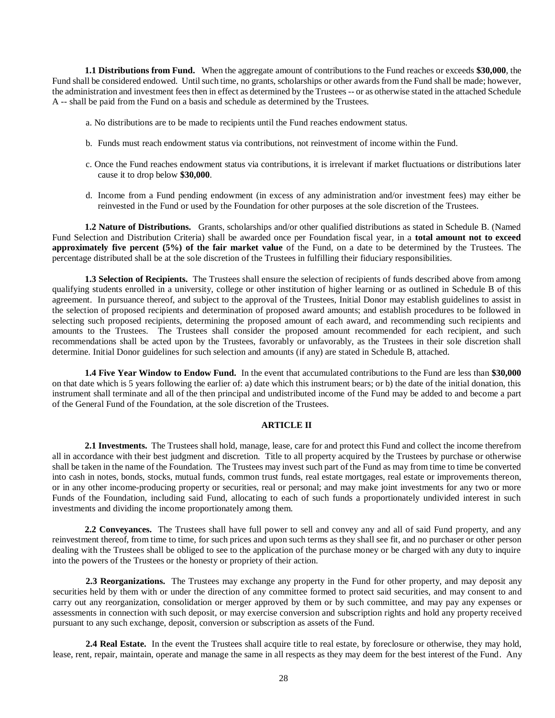**1.1 Distributions from Fund.** When the aggregate amount of contributions to the Fund reaches or exceeds **\$30,000**, the Fund shall be considered endowed. Until such time, no grants, scholarships or other awards from the Fund shall be made; however, the administration and investment fees then in effect as determined by the Trustees -- or as otherwise stated in the attached Schedule A -- shall be paid from the Fund on a basis and schedule as determined by the Trustees.

- a. No distributions are to be made to recipients until the Fund reaches endowment status.
- b. Funds must reach endowment status via contributions, not reinvestment of income within the Fund.
- c. Once the Fund reaches endowment status via contributions, it is irrelevant if market fluctuations or distributions later cause it to drop below **\$30,000**.
- d. Income from a Fund pending endowment (in excess of any administration and/or investment fees) may either be reinvested in the Fund or used by the Foundation for other purposes at the sole discretion of the Trustees.

**1.2 Nature of Distributions.** Grants, scholarships and/or other qualified distributions as stated in Schedule B. (Named Fund Selection and Distribution Criteria) shall be awarded once per Foundation fiscal year, in a **total amount not to exceed approximately five percent (5%) of the fair market value** of the Fund, on a date to be determined by the Trustees. The percentage distributed shall be at the sole discretion of the Trustees in fulfilling their fiduciary responsibilities.

**1.3 Selection of Recipients.** The Trustees shall ensure the selection of recipients of funds described above from among qualifying students enrolled in a university, college or other institution of higher learning or as outlined in Schedule B of this agreement. In pursuance thereof, and subject to the approval of the Trustees, Initial Donor may establish guidelines to assist in the selection of proposed recipients and determination of proposed award amounts; and establish procedures to be followed in selecting such proposed recipients, determining the proposed amount of each award, and recommending such recipients and amounts to the Trustees. The Trustees shall consider the proposed amount recommended for each recipient, and such recommendations shall be acted upon by the Trustees, favorably or unfavorably, as the Trustees in their sole discretion shall determine. Initial Donor guidelines for such selection and amounts (if any) are stated in Schedule B, attached.

**1.4 Five Year Window to Endow Fund.** In the event that accumulated contributions to the Fund are less than **\$30,000** on that date which is 5 years following the earlier of: a) date which this instrument bears; or b) the date of the initial donation, this instrument shall terminate and all of the then principal and undistributed income of the Fund may be added to and become a part of the General Fund of the Foundation, at the sole discretion of the Trustees.

#### **ARTICLE II**

**2.1 Investments.** The Trustees shall hold, manage, lease, care for and protect this Fund and collect the income therefrom all in accordance with their best judgment and discretion. Title to all property acquired by the Trustees by purchase or otherwise shall be taken in the name of the Foundation. The Trustees may invest such part of the Fund as may from time to time be converted into cash in notes, bonds, stocks, mutual funds, common trust funds, real estate mortgages, real estate or improvements thereon, or in any other income-producing property or securities, real or personal; and may make joint investments for any two or more Funds of the Foundation, including said Fund, allocating to each of such funds a proportionately undivided interest in such investments and dividing the income proportionately among them.

**2.2 Conveyances.** The Trustees shall have full power to sell and convey any and all of said Fund property, and any reinvestment thereof, from time to time, for such prices and upon such terms as they shall see fit, and no purchaser or other person dealing with the Trustees shall be obliged to see to the application of the purchase money or be charged with any duty to inquire into the powers of the Trustees or the honesty or propriety of their action.

**2.3 Reorganizations.** The Trustees may exchange any property in the Fund for other property, and may deposit any securities held by them with or under the direction of any committee formed to protect said securities, and may consent to and carry out any reorganization, consolidation or merger approved by them or by such committee, and may pay any expenses or assessments in connection with such deposit, or may exercise conversion and subscription rights and hold any property received pursuant to any such exchange, deposit, conversion or subscription as assets of the Fund.

**2.4 Real Estate.** In the event the Trustees shall acquire title to real estate, by foreclosure or otherwise, they may hold, lease, rent, repair, maintain, operate and manage the same in all respects as they may deem for the best interest of the Fund. Any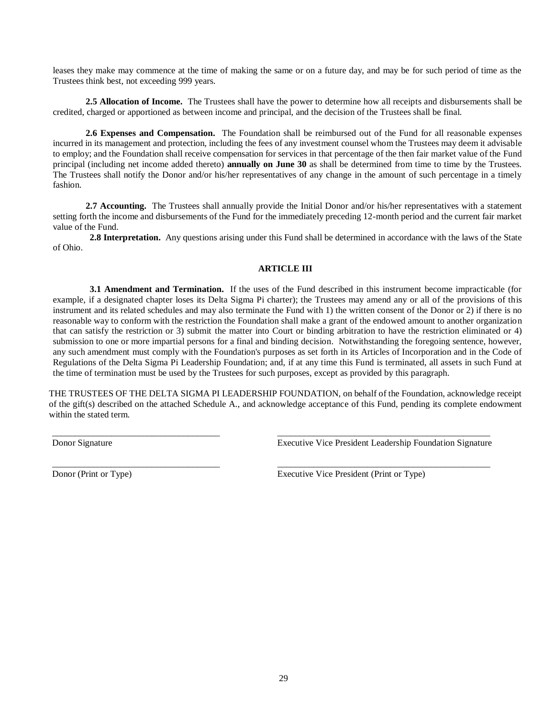leases they make may commence at the time of making the same or on a future day, and may be for such period of time as the Trustees think best, not exceeding 999 years.

**2.5 Allocation of Income.** The Trustees shall have the power to determine how all receipts and disbursements shall be credited, charged or apportioned as between income and principal, and the decision of the Trustees shall be final.

**2.6 Expenses and Compensation.** The Foundation shall be reimbursed out of the Fund for all reasonable expenses incurred in its management and protection, including the fees of any investment counsel whom the Trustees may deem it advisable to employ; and the Foundation shall receive compensation for services in that percentage of the then fair market value of the Fund principal (including net income added thereto) **annually on June 30** as shall be determined from time to time by the Trustees. The Trustees shall notify the Donor and/or his/her representatives of any change in the amount of such percentage in a timely fashion.

**2.7 Accounting.** The Trustees shall annually provide the Initial Donor and/or his/her representatives with a statement setting forth the income and disbursements of the Fund for the immediately preceding 12-month period and the current fair market value of the Fund.

**2.8 Interpretation.** Any questions arising under this Fund shall be determined in accordance with the laws of the State of Ohio.

# **ARTICLE III**

**3.1 Amendment and Termination.** If the uses of the Fund described in this instrument become impracticable (for example, if a designated chapter loses its Delta Sigma Pi charter); the Trustees may amend any or all of the provisions of this instrument and its related schedules and may also terminate the Fund with 1) the written consent of the Donor or 2) if there is no reasonable way to conform with the restriction the Foundation shall make a grant of the endowed amount to another organization that can satisfy the restriction or 3) submit the matter into Court or binding arbitration to have the restriction eliminated or 4) submission to one or more impartial persons for a final and binding decision. Notwithstanding the foregoing sentence, however, any such amendment must comply with the Foundation's purposes as set forth in its Articles of Incorporation and in the Code of Regulations of the Delta Sigma Pi Leadership Foundation; and, if at any time this Fund is terminated, all assets in such Fund at the time of termination must be used by the Trustees for such purposes, except as provided by this paragraph.

THE TRUSTEES OF THE DELTA SIGMA PI LEADERSHIP FOUNDATION, on behalf of the Foundation, acknowledge receipt of the gift(s) described on the attached Schedule A., and acknowledge acceptance of this Fund, pending its complete endowment within the stated term.

\_\_\_\_\_\_\_\_\_\_\_\_\_\_\_\_\_\_\_\_\_\_\_\_\_\_\_\_\_\_\_\_\_\_\_\_\_ \_\_\_\_\_\_\_\_\_\_\_\_\_\_\_\_\_\_\_\_\_\_\_\_\_\_\_\_\_\_\_\_\_\_\_\_\_\_\_\_\_\_\_\_\_\_\_

Donor Signature Executive Vice President Leadership Foundation Signature

\_\_\_\_\_\_\_\_\_\_\_\_\_\_\_\_\_\_\_\_\_\_\_\_\_\_\_\_\_\_\_\_\_\_\_\_\_ \_\_\_\_\_\_\_\_\_\_\_\_\_\_\_\_\_\_\_\_\_\_\_\_\_\_\_\_\_\_\_\_\_\_\_\_\_\_\_\_\_\_\_\_\_\_\_ Donor (Print or Type) Executive Vice President (Print or Type)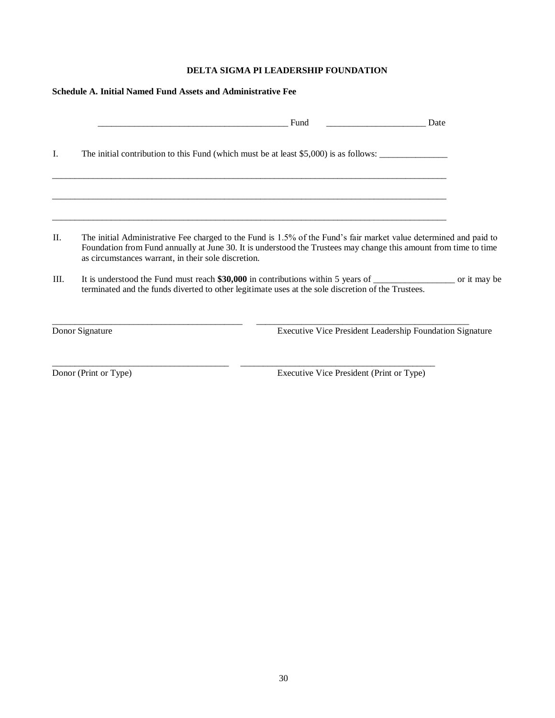# **DELTA SIGMA PI LEADERSHIP FOUNDATION**

| Schedule A. Initial Named Fund Assets and Administrative Fee |                 |                                                                                                                                                                                                                                                                                              |      |
|--------------------------------------------------------------|-----------------|----------------------------------------------------------------------------------------------------------------------------------------------------------------------------------------------------------------------------------------------------------------------------------------------|------|
|                                                              |                 | Fund                                                                                                                                                                                                                                                                                         | Date |
| Ι.                                                           |                 | The initial contribution to this Fund (which must be at least \$5,000) is as follows:                                                                                                                                                                                                        |      |
|                                                              |                 |                                                                                                                                                                                                                                                                                              |      |
| $\Pi$ .                                                      |                 | The initial Administrative Fee charged to the Fund is 1.5% of the Fund's fair market value determined and paid to<br>Foundation from Fund annually at June 30. It is understood the Trustees may change this amount from time to time<br>as circumstances warrant, in their sole discretion. |      |
| III.                                                         |                 | terminated and the funds diverted to other legitimate uses at the sole discretion of the Trustees.                                                                                                                                                                                           |      |
|                                                              | Donor Signature | Executive Vice President Leadership Foundation Signature                                                                                                                                                                                                                                     |      |

\_\_\_\_\_\_\_\_\_\_\_\_\_\_\_\_\_\_\_\_\_\_\_\_\_\_\_\_\_\_\_\_\_\_\_\_\_\_\_ \_\_\_\_\_\_\_\_\_\_\_\_\_\_\_\_\_\_\_\_\_\_\_\_\_\_\_\_\_\_\_\_\_\_\_\_\_\_\_\_\_\_\_

Donor (Print or Type) Executive Vice President (Print or Type)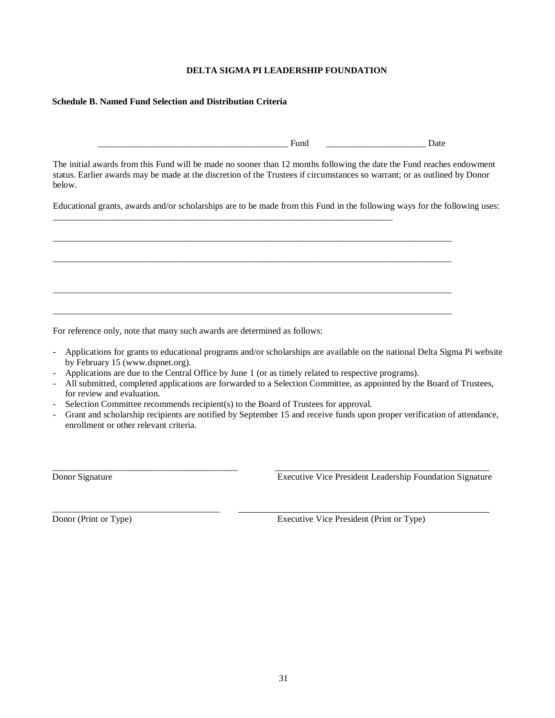# **DELTA SIGMA PI LEADERSHIP FOUNDATION**

### **Schedule B. Named Fund Selection and Distribution Criteria**

Fund Date

The initial awards from this Fund will be made no sooner than 12 months following the date the Fund reaches endowment status. Earlier awards may be made at the discretion of the Trustees if circumstances so warrant; or as outlined by Donor below.

Educational grants, awards and/or scholarships are to be made from this Fund in the following ways for the following uses:

\_\_\_\_\_\_\_\_\_\_\_\_\_\_\_\_\_\_\_\_\_\_\_\_\_\_\_\_\_\_\_\_\_\_\_\_\_\_\_\_\_\_\_\_\_\_\_\_\_\_\_\_\_\_\_\_\_\_\_\_\_\_\_\_\_\_\_\_\_\_\_\_\_\_\_\_\_\_\_\_\_\_\_\_\_\_\_\_

\_\_\_\_\_\_\_\_\_\_\_\_\_\_\_\_\_\_\_\_\_\_\_\_\_\_\_\_\_\_\_\_\_\_\_\_\_\_\_\_\_\_\_\_\_\_\_\_\_\_\_\_\_\_\_\_\_\_\_\_\_\_\_\_\_\_\_\_\_\_\_\_\_\_\_\_\_\_\_\_\_\_\_\_\_\_\_\_

\_\_\_\_\_\_\_\_\_\_\_\_\_\_\_\_\_\_\_\_\_\_\_\_\_\_\_\_\_\_\_\_\_\_\_\_\_\_\_\_\_\_\_\_\_\_\_\_\_\_\_\_\_\_\_\_\_\_\_\_\_\_\_\_\_\_\_\_\_\_\_\_\_\_\_\_\_\_\_\_\_\_\_\_\_\_\_\_

\_\_\_\_\_\_\_\_\_\_\_\_\_\_\_\_\_\_\_\_\_\_\_\_\_\_\_\_\_\_\_\_\_\_\_\_\_\_\_\_\_\_\_\_\_\_\_\_\_\_\_\_\_\_\_\_\_\_\_\_\_\_\_\_\_\_\_\_\_\_\_\_\_\_\_\_\_\_\_\_\_\_\_\_\_\_\_\_

For reference only, note that many such awards are determined as follows:

\_\_\_\_\_\_\_\_\_\_\_\_\_\_\_\_\_\_\_\_\_\_\_\_\_\_\_\_\_\_\_\_\_\_\_\_\_\_\_\_\_

\_\_\_\_\_\_\_\_\_\_\_\_\_\_\_\_\_\_\_\_\_\_\_\_\_\_\_\_\_\_\_\_\_\_\_\_\_

- Applications for grants to educational programs and/or scholarships are available on the national Delta Sigma Pi website by February 15 (www.dspnet.org).
- Applications are due to the Central Office by June 1 (or as timely related to respective programs).

\_\_\_\_\_\_\_\_\_\_\_\_\_\_\_\_\_\_\_\_\_\_\_\_\_\_\_\_\_\_\_\_\_\_\_\_\_\_\_\_\_\_\_\_\_\_\_\_\_\_\_\_\_\_\_\_\_\_\_\_\_\_\_\_\_\_\_\_\_\_\_\_\_\_\_

- All submitted, completed applications are forwarded to a Selection Committee, as appointed by the Board of Trustees, for review and evaluation.
- Selection Committee recommends recipient(s) to the Board of Trustees for approval.
- Grant and scholarship recipients are notified by September 15 and receive funds upon proper verification of attendance, enrollment or other relevant criteria.

Donor Signature Executive Vice President Leadership Foundation Signature

Donor (Print or Type) Executive Vice President (Print or Type)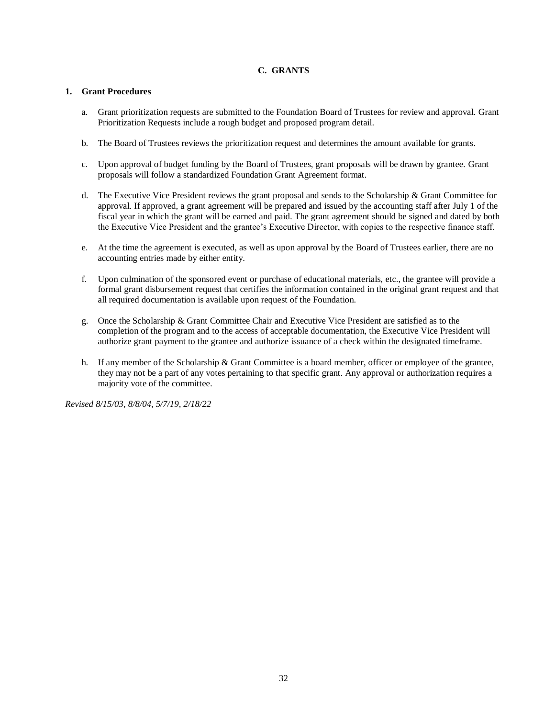# **C. GRANTS**

### <span id="page-31-0"></span>**1. Grant Procedures**

- a. Grant prioritization requests are submitted to the Foundation Board of Trustees for review and approval. Grant Prioritization Requests include a rough budget and proposed program detail.
- b. The Board of Trustees reviews the prioritization request and determines the amount available for grants.
- c. Upon approval of budget funding by the Board of Trustees, grant proposals will be drawn by grantee. Grant proposals will follow a standardized Foundation Grant Agreement format.
- d. The Executive Vice President reviews the grant proposal and sends to the Scholarship  $\&$  Grant Committee for approval. If approved, a grant agreement will be prepared and issued by the accounting staff after July 1 of the fiscal year in which the grant will be earned and paid. The grant agreement should be signed and dated by both the Executive Vice President and the grantee's Executive Director, with copies to the respective finance staff.
- e. At the time the agreement is executed, as well as upon approval by the Board of Trustees earlier, there are no accounting entries made by either entity.
- f. Upon culmination of the sponsored event or purchase of educational materials, etc., the grantee will provide a formal grant disbursement request that certifies the information contained in the original grant request and that all required documentation is available upon request of the Foundation.
- g. Once the Scholarship & Grant Committee Chair and Executive Vice President are satisfied as to the completion of the program and to the access of acceptable documentation, the Executive Vice President will authorize grant payment to the grantee and authorize issuance of a check within the designated timeframe.
- h. If any member of the Scholarship & Grant Committee is a board member, officer or employee of the grantee, they may not be a part of any votes pertaining to that specific grant. Any approval or authorization requires a majority vote of the committee.

*Revised 8/15/03, 8/8/04, 5/7/19, 2/18/22*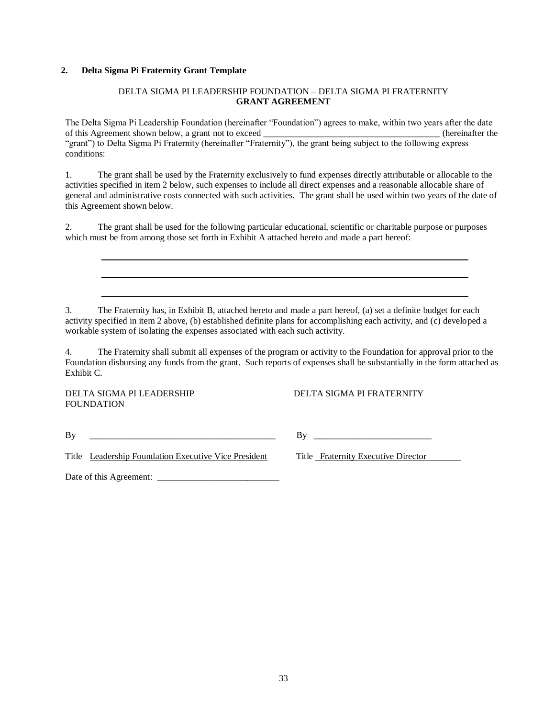# **2. Delta Sigma Pi Fraternity Grant Template**

### DELTA SIGMA PI LEADERSHIP FOUNDATION – DELTA SIGMA PI FRATERNITY **GRANT AGREEMENT**

The Delta Sigma Pi Leadership Foundation (hereinafter "Foundation") agrees to make, within two years after the date of this Agreement shown below, a grant not to exceed  $\blacksquare$  (hereinafter the "grant") to Delta Sigma Pi Fraternity (hereinafter "Fraternity"), the grant being subject to the following express conditions:

1. The grant shall be used by the Fraternity exclusively to fund expenses directly attributable or allocable to the activities specified in item 2 below, such expenses to include all direct expenses and a reasonable allocable share of general and administrative costs connected with such activities. The grant shall be used within two years of the date of this Agreement shown below.

2. The grant shall be used for the following particular educational, scientific or charitable purpose or purposes which must be from among those set forth in Exhibit A attached hereto and made a part hereof:

3. The Fraternity has, in Exhibit B, attached hereto and made a part hereof, (a) set a definite budget for each activity specified in item 2 above, (b) established definite plans for accomplishing each activity, and (c) developed a workable system of isolating the expenses associated with each such activity.

4. The Fraternity shall submit all expenses of the program or activity to the Foundation for approval prior to the Foundation disbursing any funds from the grant. Such reports of expenses shall be substantially in the form attached as Exhibit C.

FOUNDATION

DELTA SIGMA PI LEADERSHIP DELTA SIGMA PI FRATERNITY

 $\n \ \, \text{By} \quad \ \ \underline{\hspace{1.5cm}}$ 

Title Leadership Foundation Executive Vice President Title Fraternity Executive Director

Date of this Agreement: \_\_\_\_\_\_\_\_\_\_\_\_\_\_\_\_\_\_\_\_\_\_\_\_\_\_\_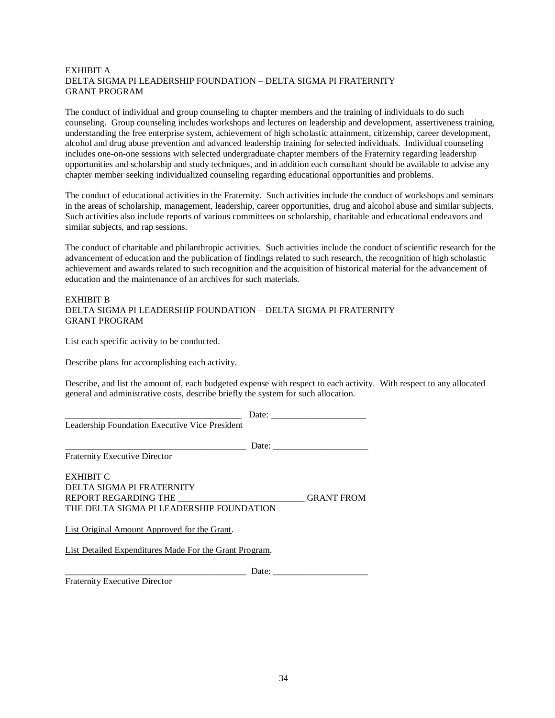# EXHIBIT A DELTA SIGMA PI LEADERSHIP FOUNDATION – DELTA SIGMA PI FRATERNITY GRANT PROGRAM

The conduct of individual and group counseling to chapter members and the training of individuals to do such counseling. Group counseling includes workshops and lectures on leadership and development, assertiveness training, understanding the free enterprise system, achievement of high scholastic attainment, citizenship, career development, alcohol and drug abuse prevention and advanced leadership training for selected individuals. Individual counseling includes one-on-one sessions with selected undergraduate chapter members of the Fraternity regarding leadership opportunities and scholarship and study techniques, and in addition each consultant should be available to advise any chapter member seeking individualized counseling regarding educational opportunities and problems.

The conduct of educational activities in the Fraternity. Such activities include the conduct of workshops and seminars in the areas of scholarship, management, leadership, career opportunities, drug and alcohol abuse and similar subjects. Such activities also include reports of various committees on scholarship, charitable and educational endeavors and similar subjects, and rap sessions.

The conduct of charitable and philanthropic activities. Such activities include the conduct of scientific research for the advancement of education and the publication of findings related to such research, the recognition of high scholastic achievement and awards related to such recognition and the acquisition of historical material for the advancement of education and the maintenance of an archives for such materials.

# EXHIBIT B DELTA SIGMA PI LEADERSHIP FOUNDATION – DELTA SIGMA PI FRATERNITY GRANT PROGRAM

List each specific activity to be conducted.

Describe plans for accomplishing each activity.

Describe, and list the amount of, each budgeted expense with respect to each activity. With respect to any allocated general and administrative costs, describe briefly the system for such allocation.

|                                                        |       | Date:                                                    |
|--------------------------------------------------------|-------|----------------------------------------------------------|
| Leadership Foundation Executive Vice President         |       |                                                          |
|                                                        |       | Date: $\frac{1}{\sqrt{1-\frac{1}{2}} \cdot \frac{1}{2}}$ |
| <b>Fraternity Executive Director</b>                   |       |                                                          |
| EXHIBIT C                                              |       |                                                          |
| DELTA SIGMA PI FRATERNITY                              |       |                                                          |
| REPORT REGARDING THE                                   |       | <b>GRANT FROM</b>                                        |
| THE DELTA SIGMA PI LEADERSHIP FOUNDATION               |       |                                                          |
| List Original Amount Approved for the Grant.           |       |                                                          |
| List Detailed Expenditures Made For the Grant Program. |       |                                                          |
|                                                        | Date: |                                                          |
| <b>Fraternity Executive Director</b>                   |       |                                                          |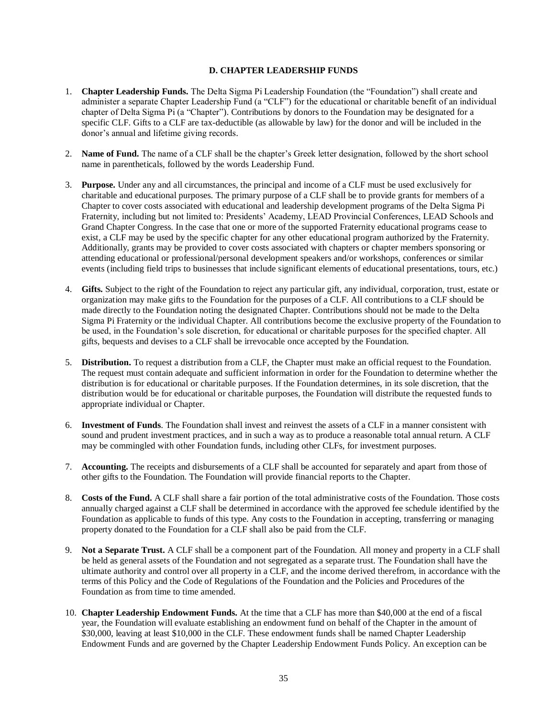### **D. CHAPTER LEADERSHIP FUNDS**

- <span id="page-34-0"></span>1. **Chapter Leadership Funds.** The Delta Sigma Pi Leadership Foundation (the "Foundation") shall create and administer a separate Chapter Leadership Fund (a "CLF") for the educational or charitable benefit of an individual chapter of Delta Sigma Pi (a "Chapter"). Contributions by donors to the Foundation may be designated for a specific CLF. Gifts to a CLF are tax-deductible (as allowable by law) for the donor and will be included in the donor's annual and lifetime giving records.
- 2. **Name of Fund.** The name of a CLF shall be the chapter's Greek letter designation, followed by the short school name in parentheticals, followed by the words Leadership Fund.
- 3. **Purpose.** Under any and all circumstances, the principal and income of a CLF must be used exclusively for charitable and educational purposes. The primary purpose of a CLF shall be to provide grants for members of a Chapter to cover costs associated with educational and leadership development programs of the Delta Sigma Pi Fraternity, including but not limited to: Presidents' Academy, LEAD Provincial Conferences, LEAD Schools and Grand Chapter Congress. In the case that one or more of the supported Fraternity educational programs cease to exist, a CLF may be used by the specific chapter for any other educational program authorized by the Fraternity. Additionally, grants may be provided to cover costs associated with chapters or chapter members sponsoring or attending educational or professional/personal development speakers and/or workshops, conferences or similar events (including field trips to businesses that include significant elements of educational presentations, tours, etc.)
- 4. **Gifts.** Subject to the right of the Foundation to reject any particular gift, any individual, corporation, trust, estate or organization may make gifts to the Foundation for the purposes of a CLF. All contributions to a CLF should be made directly to the Foundation noting the designated Chapter. Contributions should not be made to the Delta Sigma Pi Fraternity or the individual Chapter. All contributions become the exclusive property of the Foundation to be used, in the Foundation's sole discretion, for educational or charitable purposes for the specified chapter. All gifts, bequests and devises to a CLF shall be irrevocable once accepted by the Foundation.
- 5. **Distribution.** To request a distribution from a CLF, the Chapter must make an official request to the Foundation. The request must contain adequate and sufficient information in order for the Foundation to determine whether the distribution is for educational or charitable purposes. If the Foundation determines, in its sole discretion, that the distribution would be for educational or charitable purposes, the Foundation will distribute the requested funds to appropriate individual or Chapter.
- 6. **Investment of Funds**. The Foundation shall invest and reinvest the assets of a CLF in a manner consistent with sound and prudent investment practices, and in such a way as to produce a reasonable total annual return. A CLF may be commingled with other Foundation funds, including other CLFs, for investment purposes.
- 7. **Accounting.** The receipts and disbursements of a CLF shall be accounted for separately and apart from those of other gifts to the Foundation. The Foundation will provide financial reports to the Chapter.
- 8. **Costs of the Fund.** A CLF shall share a fair portion of the total administrative costs of the Foundation. Those costs annually charged against a CLF shall be determined in accordance with the approved fee schedule identified by the Foundation as applicable to funds of this type. Any costs to the Foundation in accepting, transferring or managing property donated to the Foundation for a CLF shall also be paid from the CLF.
- 9. **Not a Separate Trust.** A CLF shall be a component part of the Foundation. All money and property in a CLF shall be held as general assets of the Foundation and not segregated as a separate trust. The Foundation shall have the ultimate authority and control over all property in a CLF, and the income derived therefrom, in accordance with the terms of this Policy and the Code of Regulations of the Foundation and the Policies and Procedures of the Foundation as from time to time amended.
- 10. **Chapter Leadership Endowment Funds.** At the time that a CLF has more than \$40,000 at the end of a fiscal year, the Foundation will evaluate establishing an endowment fund on behalf of the Chapter in the amount of \$30,000, leaving at least \$10,000 in the CLF. These endowment funds shall be named Chapter Leadership Endowment Funds and are governed by the Chapter Leadership Endowment Funds Policy. An exception can be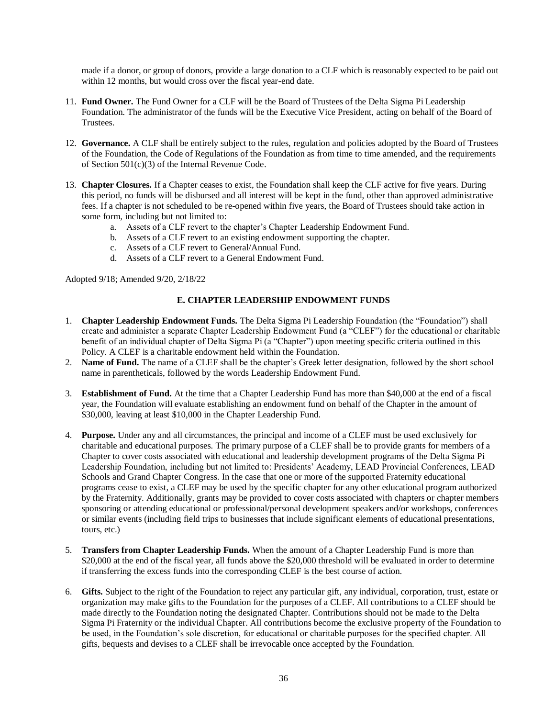made if a donor, or group of donors, provide a large donation to a CLF which is reasonably expected to be paid out within 12 months, but would cross over the fiscal year-end date.

- 11. **Fund Owner.** The Fund Owner for a CLF will be the Board of Trustees of the Delta Sigma Pi Leadership Foundation. The administrator of the funds will be the Executive Vice President, acting on behalf of the Board of Trustees.
- 12. **Governance.** A CLF shall be entirely subject to the rules, regulation and policies adopted by the Board of Trustees of the Foundation, the Code of Regulations of the Foundation as from time to time amended, and the requirements of Section 501(c)(3) of the Internal Revenue Code.
- 13. **Chapter Closures.** If a Chapter ceases to exist, the Foundation shall keep the CLF active for five years. During this period, no funds will be disbursed and all interest will be kept in the fund, other than approved administrative fees. If a chapter is not scheduled to be re-opened within five years, the Board of Trustees should take action in some form, including but not limited to:
	- a. Assets of a CLF revert to the chapter's Chapter Leadership Endowment Fund.
	- b. Assets of a CLF revert to an existing endowment supporting the chapter.
	- c. Assets of a CLF revert to General/Annual Fund.
	- d. Assets of a CLF revert to a General Endowment Fund.

<span id="page-35-0"></span>Adopted 9/18; Amended 9/20, 2/18/22

# **E. CHAPTER LEADERSHIP ENDOWMENT FUNDS**

- 1. **Chapter Leadership Endowment Funds.** The Delta Sigma Pi Leadership Foundation (the "Foundation") shall create and administer a separate Chapter Leadership Endowment Fund (a "CLEF") for the educational or charitable benefit of an individual chapter of Delta Sigma Pi (a "Chapter") upon meeting specific criteria outlined in this Policy. A CLEF is a charitable endowment held within the Foundation.
- 2. **Name of Fund.** The name of a CLEF shall be the chapter's Greek letter designation, followed by the short school name in parentheticals, followed by the words Leadership Endowment Fund.
- 3. **Establishment of Fund.** At the time that a Chapter Leadership Fund has more than \$40,000 at the end of a fiscal year, the Foundation will evaluate establishing an endowment fund on behalf of the Chapter in the amount of \$30,000, leaving at least \$10,000 in the Chapter Leadership Fund.
- 4. **Purpose.** Under any and all circumstances, the principal and income of a CLEF must be used exclusively for charitable and educational purposes. The primary purpose of a CLEF shall be to provide grants for members of a Chapter to cover costs associated with educational and leadership development programs of the Delta Sigma Pi Leadership Foundation, including but not limited to: Presidents' Academy, LEAD Provincial Conferences, LEAD Schools and Grand Chapter Congress. In the case that one or more of the supported Fraternity educational programs cease to exist, a CLEF may be used by the specific chapter for any other educational program authorized by the Fraternity. Additionally, grants may be provided to cover costs associated with chapters or chapter members sponsoring or attending educational or professional/personal development speakers and/or workshops, conferences or similar events (including field trips to businesses that include significant elements of educational presentations, tours, etc.)
- 5. **Transfers from Chapter Leadership Funds.** When the amount of a Chapter Leadership Fund is more than \$20,000 at the end of the fiscal year, all funds above the \$20,000 threshold will be evaluated in order to determine if transferring the excess funds into the corresponding CLEF is the best course of action.
- 6. **Gifts.** Subject to the right of the Foundation to reject any particular gift, any individual, corporation, trust, estate or organization may make gifts to the Foundation for the purposes of a CLEF. All contributions to a CLEF should be made directly to the Foundation noting the designated Chapter. Contributions should not be made to the Delta Sigma Pi Fraternity or the individual Chapter. All contributions become the exclusive property of the Foundation to be used, in the Foundation's sole discretion, for educational or charitable purposes for the specified chapter. All gifts, bequests and devises to a CLEF shall be irrevocable once accepted by the Foundation.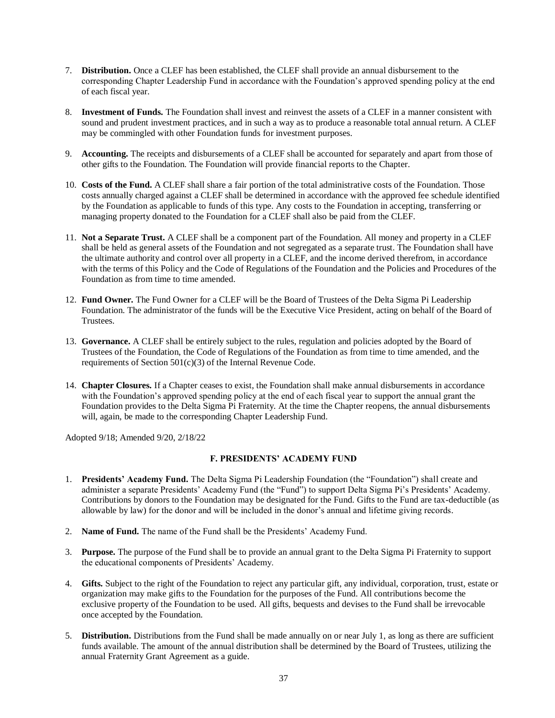- 7. **Distribution.** Once a CLEF has been established, the CLEF shall provide an annual disbursement to the corresponding Chapter Leadership Fund in accordance with the Foundation's approved spending policy at the end of each fiscal year.
- 8. **Investment of Funds.** The Foundation shall invest and reinvest the assets of a CLEF in a manner consistent with sound and prudent investment practices, and in such a way as to produce a reasonable total annual return. A CLEF may be commingled with other Foundation funds for investment purposes.
- 9. **Accounting.** The receipts and disbursements of a CLEF shall be accounted for separately and apart from those of other gifts to the Foundation. The Foundation will provide financial reports to the Chapter.
- 10. **Costs of the Fund.** A CLEF shall share a fair portion of the total administrative costs of the Foundation. Those costs annually charged against a CLEF shall be determined in accordance with the approved fee schedule identified by the Foundation as applicable to funds of this type. Any costs to the Foundation in accepting, transferring or managing property donated to the Foundation for a CLEF shall also be paid from the CLEF.
- 11. **Not a Separate Trust.** A CLEF shall be a component part of the Foundation. All money and property in a CLEF shall be held as general assets of the Foundation and not segregated as a separate trust. The Foundation shall have the ultimate authority and control over all property in a CLEF, and the income derived therefrom, in accordance with the terms of this Policy and the Code of Regulations of the Foundation and the Policies and Procedures of the Foundation as from time to time amended.
- 12. **Fund Owner.** The Fund Owner for a CLEF will be the Board of Trustees of the Delta Sigma Pi Leadership Foundation. The administrator of the funds will be the Executive Vice President, acting on behalf of the Board of Trustees.
- 13. **Governance.** A CLEF shall be entirely subject to the rules, regulation and policies adopted by the Board of Trustees of the Foundation, the Code of Regulations of the Foundation as from time to time amended, and the requirements of Section 501(c)(3) of the Internal Revenue Code.
- 14. **Chapter Closures.** If a Chapter ceases to exist, the Foundation shall make annual disbursements in accordance with the Foundation's approved spending policy at the end of each fiscal year to support the annual grant the Foundation provides to the Delta Sigma Pi Fraternity. At the time the Chapter reopens, the annual disbursements will, again, be made to the corresponding Chapter Leadership Fund.

<span id="page-36-0"></span>Adopted 9/18; Amended 9/20, 2/18/22

# **F. PRESIDENTS' ACADEMY FUND**

- 1. **Presidents' Academy Fund.** The Delta Sigma Pi Leadership Foundation (the "Foundation") shall create and administer a separate Presidents' Academy Fund (the "Fund") to support Delta Sigma Pi's Presidents' Academy. Contributions by donors to the Foundation may be designated for the Fund. Gifts to the Fund are tax-deductible (as allowable by law) for the donor and will be included in the donor's annual and lifetime giving records.
- 2. **Name of Fund.** The name of the Fund shall be the Presidents' Academy Fund.
- 3. **Purpose.** The purpose of the Fund shall be to provide an annual grant to the Delta Sigma Pi Fraternity to support the educational components of Presidents' Academy.
- 4. **Gifts.** Subject to the right of the Foundation to reject any particular gift, any individual, corporation, trust, estate or organization may make gifts to the Foundation for the purposes of the Fund. All contributions become the exclusive property of the Foundation to be used. All gifts, bequests and devises to the Fund shall be irrevocable once accepted by the Foundation.
- 5. **Distribution.** Distributions from the Fund shall be made annually on or near July 1, as long as there are sufficient funds available. The amount of the annual distribution shall be determined by the Board of Trustees, utilizing the annual Fraternity Grant Agreement as a guide.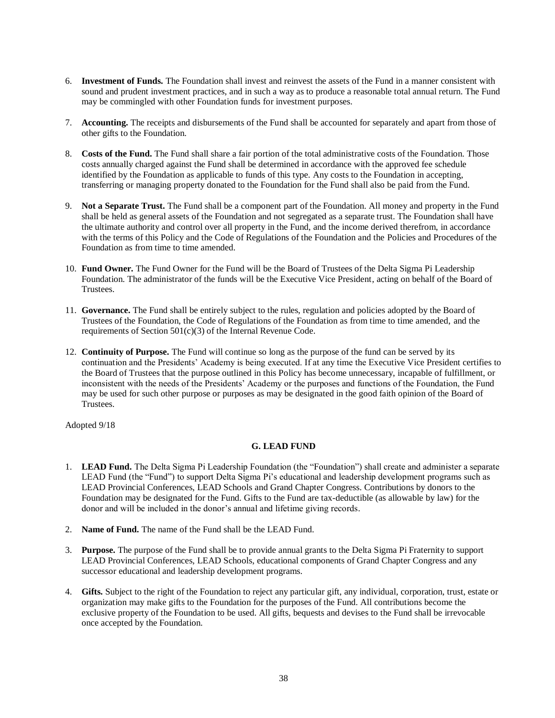- 6. **Investment of Funds.** The Foundation shall invest and reinvest the assets of the Fund in a manner consistent with sound and prudent investment practices, and in such a way as to produce a reasonable total annual return. The Fund may be commingled with other Foundation funds for investment purposes.
- 7. **Accounting.** The receipts and disbursements of the Fund shall be accounted for separately and apart from those of other gifts to the Foundation.
- 8. **Costs of the Fund.** The Fund shall share a fair portion of the total administrative costs of the Foundation. Those costs annually charged against the Fund shall be determined in accordance with the approved fee schedule identified by the Foundation as applicable to funds of this type. Any costs to the Foundation in accepting, transferring or managing property donated to the Foundation for the Fund shall also be paid from the Fund.
- 9. **Not a Separate Trust.** The Fund shall be a component part of the Foundation. All money and property in the Fund shall be held as general assets of the Foundation and not segregated as a separate trust. The Foundation shall have the ultimate authority and control over all property in the Fund, and the income derived therefrom, in accordance with the terms of this Policy and the Code of Regulations of the Foundation and the Policies and Procedures of the Foundation as from time to time amended.
- 10. **Fund Owner.** The Fund Owner for the Fund will be the Board of Trustees of the Delta Sigma Pi Leadership Foundation. The administrator of the funds will be the Executive Vice President, acting on behalf of the Board of Trustees.
- 11. **Governance.** The Fund shall be entirely subject to the rules, regulation and policies adopted by the Board of Trustees of the Foundation, the Code of Regulations of the Foundation as from time to time amended, and the requirements of Section 501(c)(3) of the Internal Revenue Code.
- 12. **Continuity of Purpose.** The Fund will continue so long as the purpose of the fund can be served by its continuation and the Presidents' Academy is being executed. If at any time the Executive Vice President certifies to the Board of Trustees that the purpose outlined in this Policy has become unnecessary, incapable of fulfillment, or inconsistent with the needs of the Presidents' Academy or the purposes and functions of the Foundation, the Fund may be used for such other purpose or purposes as may be designated in the good faith opinion of the Board of Trustees.

<span id="page-37-0"></span>Adopted 9/18

# **G. LEAD FUND**

- 1. **LEAD Fund.** The Delta Sigma Pi Leadership Foundation (the "Foundation") shall create and administer a separate LEAD Fund (the "Fund") to support Delta Sigma Pi's educational and leadership development programs such as LEAD Provincial Conferences, LEAD Schools and Grand Chapter Congress. Contributions by donors to the Foundation may be designated for the Fund. Gifts to the Fund are tax-deductible (as allowable by law) for the donor and will be included in the donor's annual and lifetime giving records.
- 2. **Name of Fund.** The name of the Fund shall be the LEAD Fund.
- 3. **Purpose.** The purpose of the Fund shall be to provide annual grants to the Delta Sigma Pi Fraternity to support LEAD Provincial Conferences, LEAD Schools, educational components of Grand Chapter Congress and any successor educational and leadership development programs.
- 4. **Gifts.** Subject to the right of the Foundation to reject any particular gift, any individual, corporation, trust, estate or organization may make gifts to the Foundation for the purposes of the Fund. All contributions become the exclusive property of the Foundation to be used. All gifts, bequests and devises to the Fund shall be irrevocable once accepted by the Foundation.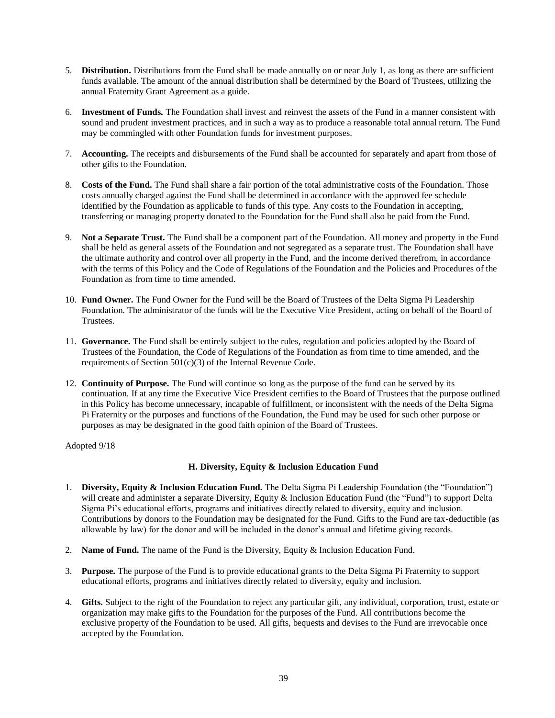- 5. **Distribution.** Distributions from the Fund shall be made annually on or near July 1, as long as there are sufficient funds available. The amount of the annual distribution shall be determined by the Board of Trustees, utilizing the annual Fraternity Grant Agreement as a guide.
- 6. **Investment of Funds.** The Foundation shall invest and reinvest the assets of the Fund in a manner consistent with sound and prudent investment practices, and in such a way as to produce a reasonable total annual return. The Fund may be commingled with other Foundation funds for investment purposes.
- 7. **Accounting.** The receipts and disbursements of the Fund shall be accounted for separately and apart from those of other gifts to the Foundation.
- 8. **Costs of the Fund.** The Fund shall share a fair portion of the total administrative costs of the Foundation. Those costs annually charged against the Fund shall be determined in accordance with the approved fee schedule identified by the Foundation as applicable to funds of this type. Any costs to the Foundation in accepting, transferring or managing property donated to the Foundation for the Fund shall also be paid from the Fund.
- 9. **Not a Separate Trust.** The Fund shall be a component part of the Foundation. All money and property in the Fund shall be held as general assets of the Foundation and not segregated as a separate trust. The Foundation shall have the ultimate authority and control over all property in the Fund, and the income derived therefrom, in accordance with the terms of this Policy and the Code of Regulations of the Foundation and the Policies and Procedures of the Foundation as from time to time amended.
- 10. **Fund Owner.** The Fund Owner for the Fund will be the Board of Trustees of the Delta Sigma Pi Leadership Foundation. The administrator of the funds will be the Executive Vice President, acting on behalf of the Board of Trustees.
- 11. **Governance.** The Fund shall be entirely subject to the rules, regulation and policies adopted by the Board of Trustees of the Foundation, the Code of Regulations of the Foundation as from time to time amended, and the requirements of Section 501(c)(3) of the Internal Revenue Code.
- 12. **Continuity of Purpose.** The Fund will continue so long as the purpose of the fund can be served by its continuation. If at any time the Executive Vice President certifies to the Board of Trustees that the purpose outlined in this Policy has become unnecessary, incapable of fulfillment, or inconsistent with the needs of the Delta Sigma Pi Fraternity or the purposes and functions of the Foundation, the Fund may be used for such other purpose or purposes as may be designated in the good faith opinion of the Board of Trustees.

<span id="page-38-0"></span>Adopted 9/18

# **H. Diversity, Equity & Inclusion Education Fund**

- 1. **Diversity, Equity & Inclusion Education Fund.** The Delta Sigma Pi Leadership Foundation (the "Foundation") will create and administer a separate Diversity, Equity & Inclusion Education Fund (the "Fund") to support Delta Sigma Pi's educational efforts, programs and initiatives directly related to diversity, equity and inclusion. Contributions by donors to the Foundation may be designated for the Fund. Gifts to the Fund are tax-deductible (as allowable by law) for the donor and will be included in the donor's annual and lifetime giving records.
- 2. **Name of Fund.** The name of the Fund is the Diversity, Equity & Inclusion Education Fund.
- 3. **Purpose.** The purpose of the Fund is to provide educational grants to the Delta Sigma Pi Fraternity to support educational efforts, programs and initiatives directly related to diversity, equity and inclusion.
- 4. **Gifts.** Subject to the right of the Foundation to reject any particular gift, any individual, corporation, trust, estate or organization may make gifts to the Foundation for the purposes of the Fund. All contributions become the exclusive property of the Foundation to be used. All gifts, bequests and devises to the Fund are irrevocable once accepted by the Foundation.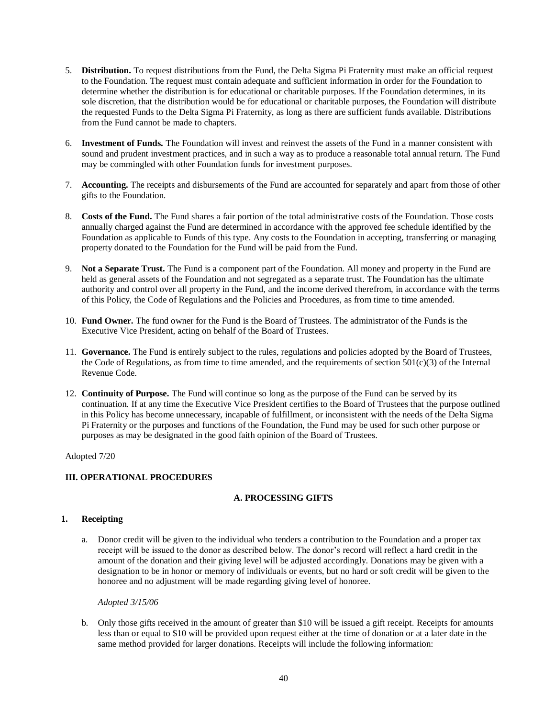- 5. **Distribution.** To request distributions from the Fund, the Delta Sigma Pi Fraternity must make an official request to the Foundation. The request must contain adequate and sufficient information in order for the Foundation to determine whether the distribution is for educational or charitable purposes. If the Foundation determines, in its sole discretion, that the distribution would be for educational or charitable purposes, the Foundation will distribute the requested Funds to the Delta Sigma Pi Fraternity, as long as there are sufficient funds available. Distributions from the Fund cannot be made to chapters.
- 6. **Investment of Funds.** The Foundation will invest and reinvest the assets of the Fund in a manner consistent with sound and prudent investment practices, and in such a way as to produce a reasonable total annual return. The Fund may be commingled with other Foundation funds for investment purposes.
- 7. **Accounting.** The receipts and disbursements of the Fund are accounted for separately and apart from those of other gifts to the Foundation.
- 8. **Costs of the Fund.** The Fund shares a fair portion of the total administrative costs of the Foundation. Those costs annually charged against the Fund are determined in accordance with the approved fee schedule identified by the Foundation as applicable to Funds of this type. Any costs to the Foundation in accepting, transferring or managing property donated to the Foundation for the Fund will be paid from the Fund.
- 9. **Not a Separate Trust.** The Fund is a component part of the Foundation. All money and property in the Fund are held as general assets of the Foundation and not segregated as a separate trust. The Foundation has the ultimate authority and control over all property in the Fund, and the income derived therefrom, in accordance with the terms of this Policy, the Code of Regulations and the Policies and Procedures, as from time to time amended.
- 10. **Fund Owner.** The fund owner for the Fund is the Board of Trustees. The administrator of the Funds is the Executive Vice President, acting on behalf of the Board of Trustees.
- 11. **Governance.** The Fund is entirely subject to the rules, regulations and policies adopted by the Board of Trustees, the Code of Regulations, as from time to time amended, and the requirements of section  $501(c)(3)$  of the Internal Revenue Code.
- 12. **Continuity of Purpose.** The Fund will continue so long as the purpose of the Fund can be served by its continuation. If at any time the Executive Vice President certifies to the Board of Trustees that the purpose outlined in this Policy has become unnecessary, incapable of fulfillment, or inconsistent with the needs of the Delta Sigma Pi Fraternity or the purposes and functions of the Foundation, the Fund may be used for such other purpose or purposes as may be designated in the good faith opinion of the Board of Trustees.

Adopted 7/20

# <span id="page-39-1"></span><span id="page-39-0"></span>**III. OPERATIONAL PROCEDURES**

# **A. PROCESSING GIFTS**

# **1. Receipting**

a. Donor credit will be given to the individual who tenders a contribution to the Foundation and a proper tax receipt will be issued to the donor as described below. The donor's record will reflect a hard credit in the amount of the donation and their giving level will be adjusted accordingly. Donations may be given with a designation to be in honor or memory of individuals or events, but no hard or soft credit will be given to the honoree and no adjustment will be made regarding giving level of honoree.

*Adopted 3/15/06*

b. Only those gifts received in the amount of greater than \$10 will be issued a gift receipt. Receipts for amounts less than or equal to \$10 will be provided upon request either at the time of donation or at a later date in the same method provided for larger donations. Receipts will include the following information: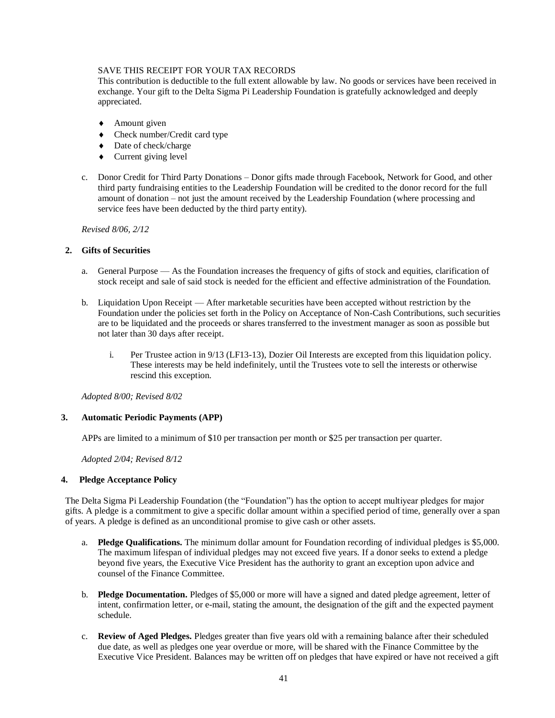# SAVE THIS RECEIPT FOR YOUR TAX RECORDS

This contribution is deductible to the full extent allowable by law. No goods or services have been received in exchange. Your gift to the Delta Sigma Pi Leadership Foundation is gratefully acknowledged and deeply appreciated.

- ◆ Amount given
- Check number/Credit card type
- ◆ Date of check/charge
- Current giving level
- c. Donor Credit for Third Party Donations Donor gifts made through Facebook, Network for Good, and other third party fundraising entities to the Leadership Foundation will be credited to the donor record for the full amount of donation – not just the amount received by the Leadership Foundation (where processing and service fees have been deducted by the third party entity).

*Revised 8/06, 2/12*

### **2. Gifts of Securities**

- a. General Purpose As the Foundation increases the frequency of gifts of stock and equities, clarification of stock receipt and sale of said stock is needed for the efficient and effective administration of the Foundation.
- b. Liquidation Upon Receipt After marketable securities have been accepted without restriction by the Foundation under the policies set forth in the Policy on Acceptance of Non-Cash Contributions, such securities are to be liquidated and the proceeds or shares transferred to the investment manager as soon as possible but not later than 30 days after receipt.
	- i. Per Trustee action in 9/13 (LF13-13), Dozier Oil Interests are excepted from this liquidation policy. These interests may be held indefinitely, until the Trustees vote to sell the interests or otherwise rescind this exception.

*Adopted 8/00; Revised 8/02*

#### **3. Automatic Periodic Payments (APP)**

APPs are limited to a minimum of \$10 per transaction per month or \$25 per transaction per quarter.

*Adopted 2/04; Revised 8/12*

#### **4. Pledge Acceptance Policy**

The Delta Sigma Pi Leadership Foundation (the "Foundation") has the option to accept multiyear pledges for major gifts. A pledge is a commitment to give a specific dollar amount within a specified period of time, generally over a span of years. A pledge is defined as an unconditional promise to give cash or other assets.

- a. **Pledge Qualifications.** The minimum dollar amount for Foundation recording of individual pledges is \$5,000. The maximum lifespan of individual pledges may not exceed five years. If a donor seeks to extend a pledge beyond five years, the Executive Vice President has the authority to grant an exception upon advice and counsel of the Finance Committee.
- b. **Pledge Documentation.** Pledges of \$5,000 or more will have a signed and dated pledge agreement, letter of intent, confirmation letter, or e-mail, stating the amount, the designation of the gift and the expected payment schedule.
- c. **Review of Aged Pledges.** Pledges greater than five years old with a remaining balance after their scheduled due date, as well as pledges one year overdue or more, will be shared with the Finance Committee by the Executive Vice President. Balances may be written off on pledges that have expired or have not received a gift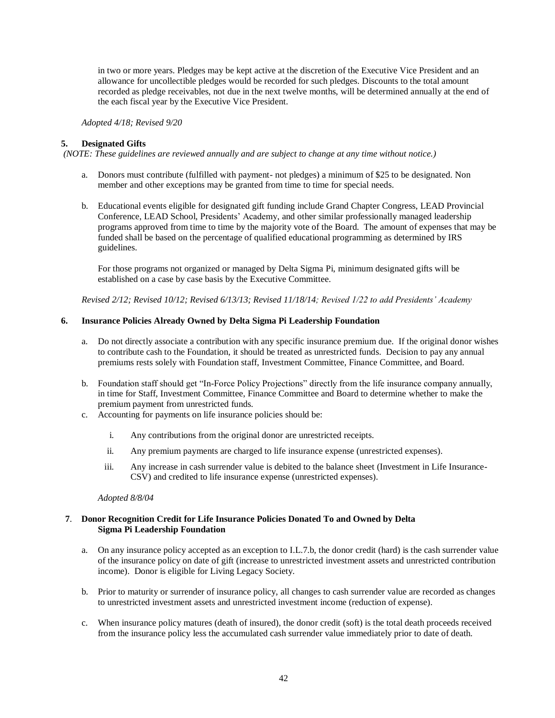in two or more years. Pledges may be kept active at the discretion of the Executive Vice President and an allowance for uncollectible pledges would be recorded for such pledges. Discounts to the total amount recorded as pledge receivables, not due in the next twelve months, will be determined annually at the end of the each fiscal year by the Executive Vice President.

*Adopted 4/18; Revised 9/20*

# **5. Designated Gifts**

*(NOTE: These guidelines are reviewed annually and are subject to change at any time without notice.)*

- a. Donors must contribute (fulfilled with payment- not pledges) a minimum of \$25 to be designated. Non member and other exceptions may be granted from time to time for special needs.
- b. Educational events eligible for designated gift funding include Grand Chapter Congress, LEAD Provincial Conference, LEAD School, Presidents' Academy, and other similar professionally managed leadership programs approved from time to time by the majority vote of the Board. The amount of expenses that may be funded shall be based on the percentage of qualified educational programming as determined by IRS guidelines.

For those programs not organized or managed by Delta Sigma Pi, minimum designated gifts will be established on a case by case basis by the Executive Committee.

*Revised 2/12; Revised 10/12; Revised 6/13/13; Revised 11/18/14; Revised 1/22 to add Presidents' Academy*

### **6. Insurance Policies Already Owned by Delta Sigma Pi Leadership Foundation**

- a. Do not directly associate a contribution with any specific insurance premium due. If the original donor wishes to contribute cash to the Foundation, it should be treated as unrestricted funds. Decision to pay any annual premiums rests solely with Foundation staff, Investment Committee, Finance Committee, and Board.
- b. Foundation staff should get "In-Force Policy Projections" directly from the life insurance company annually, in time for Staff, Investment Committee, Finance Committee and Board to determine whether to make the premium payment from unrestricted funds.
- c. Accounting for payments on life insurance policies should be:
	- i. Any contributions from the original donor are unrestricted receipts.
	- ii. Any premium payments are charged to life insurance expense (unrestricted expenses).
	- iii. Any increase in cash surrender value is debited to the balance sheet (Investment in Life Insurance-CSV) and credited to life insurance expense (unrestricted expenses).

#### *Adopted 8/8/04*

# **7**. **Donor Recognition Credit for Life Insurance Policies Donated To and Owned by Delta Sigma Pi Leadership Foundation**

- a. On any insurance policy accepted as an exception to I.L.7.b, the donor credit (hard) is the cash surrender value of the insurance policy on date of gift (increase to unrestricted investment assets and unrestricted contribution income). Donor is eligible for Living Legacy Society.
- b. Prior to maturity or surrender of insurance policy, all changes to cash surrender value are recorded as changes to unrestricted investment assets and unrestricted investment income (reduction of expense).
- c. When insurance policy matures (death of insured), the donor credit (soft) is the total death proceeds received from the insurance policy less the accumulated cash surrender value immediately prior to date of death.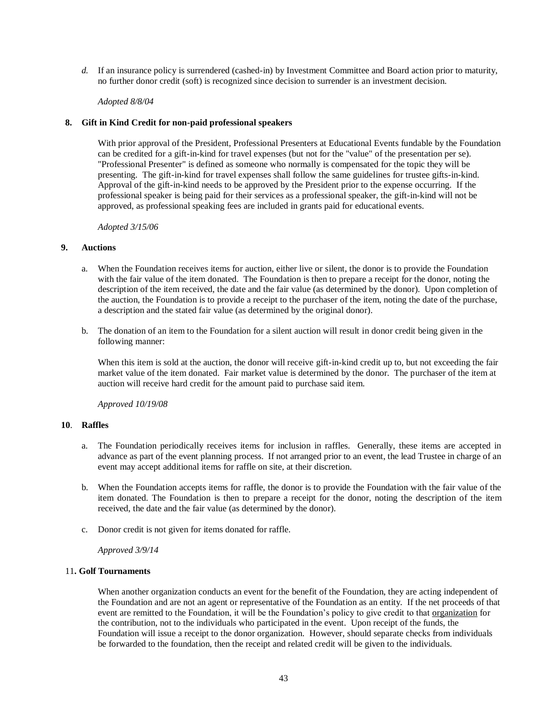*d.* If an insurance policy is surrendered (cashed-in) by Investment Committee and Board action prior to maturity, no further donor credit (soft) is recognized since decision to surrender is an investment decision.

#### *Adopted 8/8/04*

#### **8. Gift in Kind Credit for non-paid professional speakers**

With prior approval of the President, Professional Presenters at Educational Events fundable by the Foundation can be credited for a gift-in-kind for travel expenses (but not for the "value" of the presentation per se). "Professional Presenter" is defined as someone who normally is compensated for the topic they will be presenting. The gift-in-kind for travel expenses shall follow the same guidelines for trustee gifts-in-kind. Approval of the gift-in-kind needs to be approved by the President prior to the expense occurring. If the professional speaker is being paid for their services as a professional speaker, the gift-in-kind will not be approved, as professional speaking fees are included in grants paid for educational events.

*Adopted 3/15/06*

#### **9. Auctions**

- a. When the Foundation receives items for auction, either live or silent, the donor is to provide the Foundation with the fair value of the item donated. The Foundation is then to prepare a receipt for the donor, noting the description of the item received, the date and the fair value (as determined by the donor). Upon completion of the auction, the Foundation is to provide a receipt to the purchaser of the item, noting the date of the purchase, a description and the stated fair value (as determined by the original donor).
- b. The donation of an item to the Foundation for a silent auction will result in donor credit being given in the following manner:

When this item is sold at the auction, the donor will receive gift-in-kind credit up to, but not exceeding the fair market value of the item donated. Fair market value is determined by the donor. The purchaser of the item at auction will receive hard credit for the amount paid to purchase said item.

*Approved 10/19/08*

### **10**. **Raffles**

- a. The Foundation periodically receives items for inclusion in raffles. Generally, these items are accepted in advance as part of the event planning process. If not arranged prior to an event, the lead Trustee in charge of an event may accept additional items for raffle on site, at their discretion.
- b. When the Foundation accepts items for raffle, the donor is to provide the Foundation with the fair value of the item donated. The Foundation is then to prepare a receipt for the donor, noting the description of the item received, the date and the fair value (as determined by the donor).
- c. Donor credit is not given for items donated for raffle.

#### *Approved 3/9/14*

### 11**. Golf Tournaments**

When another organization conducts an event for the benefit of the Foundation, they are acting independent of the Foundation and are not an agent or representative of the Foundation as an entity. If the net proceeds of that event are remitted to the Foundation, it will be the Foundation's policy to give credit to that <u>organization</u> for the contribution, not to the individuals who participated in the event. Upon receipt of the funds, the Foundation will issue a receipt to the donor organization. However, should separate checks from individuals be forwarded to the foundation, then the receipt and related credit will be given to the individuals.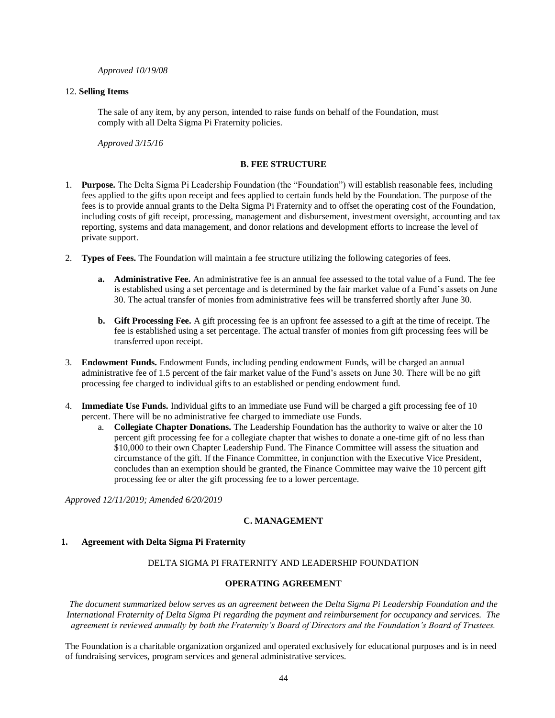*Approved 10/19/08*

### 12. **Selling Items**

The sale of any item, by any person, intended to raise funds on behalf of the Foundation, must comply with all Delta Sigma Pi Fraternity policies.

*Approved 3/15/16*

# **B. FEE STRUCTURE**

- <span id="page-43-0"></span>1. **Purpose.** The Delta Sigma Pi Leadership Foundation (the "Foundation") will establish reasonable fees, including fees applied to the gifts upon receipt and fees applied to certain funds held by the Foundation. The purpose of the fees is to provide annual grants to the Delta Sigma Pi Fraternity and to offset the operating cost of the Foundation, including costs of gift receipt, processing, management and disbursement, investment oversight, accounting and tax reporting, systems and data management, and donor relations and development efforts to increase the level of private support.
- 2. **Types of Fees.** The Foundation will maintain a fee structure utilizing the following categories of fees.
	- **a. Administrative Fee.** An administrative fee is an annual fee assessed to the total value of a Fund. The fee is established using a set percentage and is determined by the fair market value of a Fund's assets on June 30. The actual transfer of monies from administrative fees will be transferred shortly after June 30.
	- **b. Gift Processing Fee.** A gift processing fee is an upfront fee assessed to a gift at the time of receipt. The fee is established using a set percentage. The actual transfer of monies from gift processing fees will be transferred upon receipt.
- 3. **Endowment Funds.** Endowment Funds, including pending endowment Funds, will be charged an annual administrative fee of 1.5 percent of the fair market value of the Fund's assets on June 30. There will be no gift processing fee charged to individual gifts to an established or pending endowment fund.
- 4. **Immediate Use Funds.** Individual gifts to an immediate use Fund will be charged a gift processing fee of 10 percent. There will be no administrative fee charged to immediate use Funds.
	- a. **Collegiate Chapter Donations.** The Leadership Foundation has the authority to waive or alter the 10 percent gift processing fee for a collegiate chapter that wishes to donate a one-time gift of no less than \$10,000 to their own Chapter Leadership Fund. The Finance Committee will assess the situation and circumstance of the gift. If the Finance Committee, in conjunction with the Executive Vice President, concludes than an exemption should be granted, the Finance Committee may waive the 10 percent gift processing fee or alter the gift processing fee to a lower percentage.

<span id="page-43-1"></span>*Approved 12/11/2019; Amended 6/20/2019*

# **C. MANAGEMENT**

# **1. Agreement with Delta Sigma Pi Fraternity**

# DELTA SIGMA PI FRATERNITY AND LEADERSHIP FOUNDATION

# **OPERATING AGREEMENT**

*The document summarized below serves as an agreement between the Delta Sigma Pi Leadership Foundation and the International Fraternity of Delta Sigma Pi regarding the payment and reimbursement for occupancy and services. The agreement is reviewed annually by both the Fraternity's Board of Directors and the Foundation's Board of Trustees.*

The Foundation is a charitable organization organized and operated exclusively for educational purposes and is in need of fundraising services, program services and general administrative services.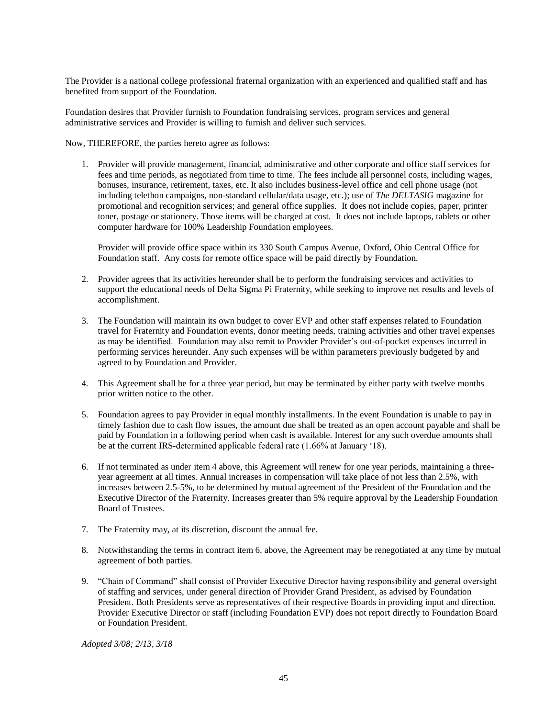The Provider is a national college professional fraternal organization with an experienced and qualified staff and has benefited from support of the Foundation.

Foundation desires that Provider furnish to Foundation fundraising services, program services and general administrative services and Provider is willing to furnish and deliver such services.

Now, THEREFORE, the parties hereto agree as follows:

1. Provider will provide management, financial, administrative and other corporate and office staff services for fees and time periods, as negotiated from time to time. The fees include all personnel costs, including wages, bonuses, insurance, retirement, taxes, etc. It also includes business-level office and cell phone usage (not including telethon campaigns, non-standard cellular/data usage, etc.); use of *The DELTASIG* magazine for promotional and recognition services; and general office supplies. It does not include copies, paper, printer toner, postage or stationery. Those items will be charged at cost. It does not include laptops, tablets or other computer hardware for 100% Leadership Foundation employees.

Provider will provide office space within its 330 South Campus Avenue, Oxford, Ohio Central Office for Foundation staff. Any costs for remote office space will be paid directly by Foundation.

- 2. Provider agrees that its activities hereunder shall be to perform the fundraising services and activities to support the educational needs of Delta Sigma Pi Fraternity, while seeking to improve net results and levels of accomplishment.
- 3. The Foundation will maintain its own budget to cover EVP and other staff expenses related to Foundation travel for Fraternity and Foundation events, donor meeting needs, training activities and other travel expenses as may be identified. Foundation may also remit to Provider Provider's out-of-pocket expenses incurred in performing services hereunder. Any such expenses will be within parameters previously budgeted by and agreed to by Foundation and Provider.
- 4. This Agreement shall be for a three year period, but may be terminated by either party with twelve months prior written notice to the other.
- 5. Foundation agrees to pay Provider in equal monthly installments. In the event Foundation is unable to pay in timely fashion due to cash flow issues, the amount due shall be treated as an open account payable and shall be paid by Foundation in a following period when cash is available. Interest for any such overdue amounts shall be at the current IRS-determined applicable federal rate (1.66% at January '18).
- 6. If not terminated as under item 4 above, this Agreement will renew for one year periods, maintaining a threeyear agreement at all times. Annual increases in compensation will take place of not less than 2.5%, with increases between 2.5-5%, to be determined by mutual agreement of the President of the Foundation and the Executive Director of the Fraternity. Increases greater than 5% require approval by the Leadership Foundation Board of Trustees.
- 7. The Fraternity may, at its discretion, discount the annual fee.
- 8. Notwithstanding the terms in contract item 6. above, the Agreement may be renegotiated at any time by mutual agreement of both parties.
- 9. "Chain of Command" shall consist of Provider Executive Director having responsibility and general oversight of staffing and services, under general direction of Provider Grand President, as advised by Foundation President. Both Presidents serve as representatives of their respective Boards in providing input and direction. Provider Executive Director or staff (including Foundation EVP) does not report directly to Foundation Board or Foundation President.

*Adopted 3/08; 2/13, 3/18*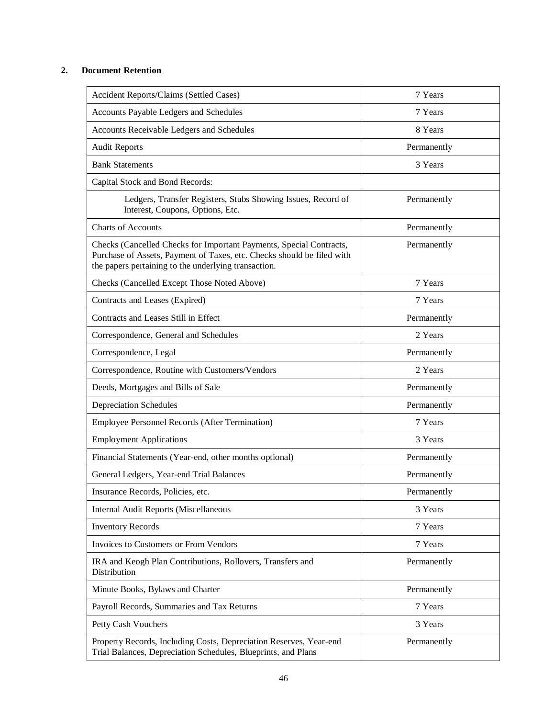# **2. Document Retention**

| Accident Reports/Claims (Settled Cases)                                                                                                                                                               | 7 Years     |
|-------------------------------------------------------------------------------------------------------------------------------------------------------------------------------------------------------|-------------|
| Accounts Payable Ledgers and Schedules                                                                                                                                                                | 7 Years     |
| Accounts Receivable Ledgers and Schedules                                                                                                                                                             | 8 Years     |
| <b>Audit Reports</b>                                                                                                                                                                                  | Permanently |
| <b>Bank Statements</b>                                                                                                                                                                                | 3 Years     |
| Capital Stock and Bond Records:                                                                                                                                                                       |             |
| Ledgers, Transfer Registers, Stubs Showing Issues, Record of<br>Interest, Coupons, Options, Etc.                                                                                                      | Permanently |
| <b>Charts of Accounts</b>                                                                                                                                                                             | Permanently |
| Checks (Cancelled Checks for Important Payments, Special Contracts,<br>Purchase of Assets, Payment of Taxes, etc. Checks should be filed with<br>the papers pertaining to the underlying transaction. | Permanently |
| Checks (Cancelled Except Those Noted Above)                                                                                                                                                           | 7 Years     |
| Contracts and Leases (Expired)                                                                                                                                                                        | 7 Years     |
| Contracts and Leases Still in Effect                                                                                                                                                                  | Permanently |
| Correspondence, General and Schedules                                                                                                                                                                 | 2 Years     |
| Correspondence, Legal                                                                                                                                                                                 | Permanently |
| Correspondence, Routine with Customers/Vendors                                                                                                                                                        | 2 Years     |
| Deeds, Mortgages and Bills of Sale                                                                                                                                                                    | Permanently |
| <b>Depreciation Schedules</b>                                                                                                                                                                         | Permanently |
| Employee Personnel Records (After Termination)                                                                                                                                                        | 7 Years     |
| <b>Employment Applications</b>                                                                                                                                                                        | 3 Years     |
| Financial Statements (Year-end, other months optional)                                                                                                                                                | Permanently |
| General Ledgers, Year-end Trial Balances                                                                                                                                                              | Permanently |
| Insurance Records, Policies, etc.                                                                                                                                                                     | Permanently |
| <b>Internal Audit Reports (Miscellaneous</b>                                                                                                                                                          | 3 Years     |
| <b>Inventory Records</b>                                                                                                                                                                              | 7 Years     |
| Invoices to Customers or From Vendors                                                                                                                                                                 | 7 Years     |
| IRA and Keogh Plan Contributions, Rollovers, Transfers and<br><b>Distribution</b>                                                                                                                     | Permanently |
| Minute Books, Bylaws and Charter                                                                                                                                                                      | Permanently |
| Payroll Records, Summaries and Tax Returns                                                                                                                                                            | 7 Years     |
| Petty Cash Vouchers                                                                                                                                                                                   | 3 Years     |
| Property Records, Including Costs, Depreciation Reserves, Year-end<br>Trial Balances, Depreciation Schedules, Blueprints, and Plans                                                                   | Permanently |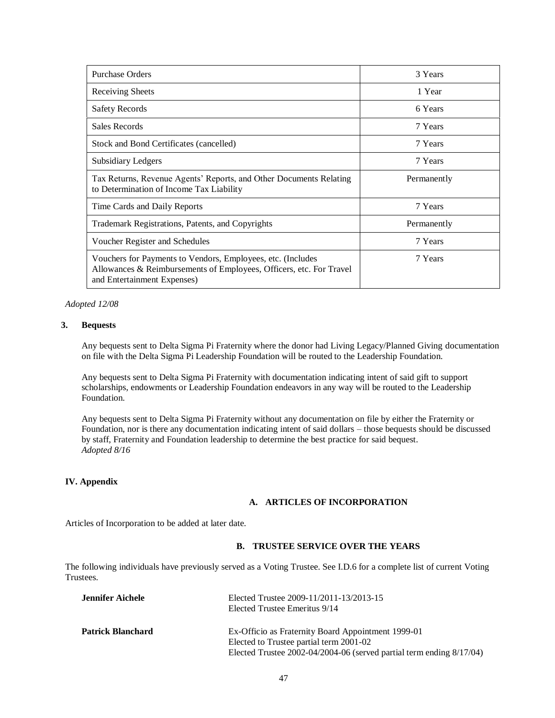| <b>Purchase Orders</b>                                                                                                                                            | 3 Years     |
|-------------------------------------------------------------------------------------------------------------------------------------------------------------------|-------------|
| Receiving Sheets                                                                                                                                                  | 1 Year      |
| <b>Safety Records</b>                                                                                                                                             | 6 Years     |
| Sales Records                                                                                                                                                     | 7 Years     |
| Stock and Bond Certificates (cancelled)                                                                                                                           | 7 Years     |
| <b>Subsidiary Ledgers</b>                                                                                                                                         | 7 Years     |
| Tax Returns, Revenue Agents' Reports, and Other Documents Relating<br>to Determination of Income Tax Liability                                                    | Permanently |
| Time Cards and Daily Reports                                                                                                                                      | 7 Years     |
| Trademark Registrations, Patents, and Copyrights                                                                                                                  | Permanently |
| Voucher Register and Schedules                                                                                                                                    | 7 Years     |
| Vouchers for Payments to Vendors, Employees, etc. (Includes<br>Allowances & Reimbursements of Employees, Officers, etc. For Travel<br>and Entertainment Expenses) | 7 Years     |

### *Adopted 12/08*

### **3. Bequests**

Any bequests sent to Delta Sigma Pi Fraternity where the donor had Living Legacy/Planned Giving documentation on file with the Delta Sigma Pi Leadership Foundation will be routed to the Leadership Foundation.

Any bequests sent to Delta Sigma Pi Fraternity with documentation indicating intent of said gift to support scholarships, endowments or Leadership Foundation endeavors in any way will be routed to the Leadership Foundation.

Any bequests sent to Delta Sigma Pi Fraternity without any documentation on file by either the Fraternity or Foundation, nor is there any documentation indicating intent of said dollars – those bequests should be discussed by staff, Fraternity and Foundation leadership to determine the best practice for said bequest. *Adopted 8/16*

# <span id="page-46-1"></span><span id="page-46-0"></span>**IV. Appendix**

#### **A. ARTICLES OF INCORPORATION**

Articles of Incorporation to be added at later date.

# **B. TRUSTEE SERVICE OVER THE YEARS**

<span id="page-46-2"></span>The following individuals have previously served as a Voting Trustee. See I.D.6 for a complete list of current Voting Trustees.

| Jennifer Aichele  | Elected Trustee 2009-11/2011-13/2013-15<br>Elected Trustee Emeritus 9/14                      |
|-------------------|-----------------------------------------------------------------------------------------------|
| Patrick Blanchard | Ex-Officio as Fraternity Board Appointment 1999-01<br>Elected to Trustee partial term 2001-02 |
|                   | Elected Trustee $2002 - 04/2004 - 06$ (served partial term ending $8/17/04$ )                 |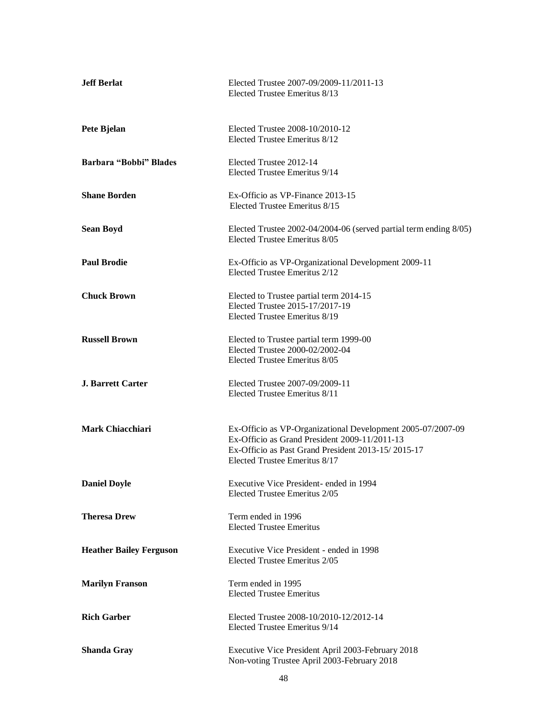| <b>Jeff Berlat</b>             | Elected Trustee 2007-09/2009-11/2011-13<br>Elected Trustee Emeritus 8/13                                                                                                                            |
|--------------------------------|-----------------------------------------------------------------------------------------------------------------------------------------------------------------------------------------------------|
| Pete Bjelan                    | Elected Trustee 2008-10/2010-12<br>Elected Trustee Emeritus 8/12                                                                                                                                    |
| Barbara "Bobbi" Blades         | Elected Trustee 2012-14<br>Elected Trustee Emeritus 9/14                                                                                                                                            |
| <b>Shane Borden</b>            | Ex-Officio as VP-Finance 2013-15<br>Elected Trustee Emeritus 8/15                                                                                                                                   |
| <b>Sean Boyd</b>               | Elected Trustee 2002-04/2004-06 (served partial term ending 8/05)<br>Elected Trustee Emeritus 8/05                                                                                                  |
| <b>Paul Brodie</b>             | Ex-Officio as VP-Organizational Development 2009-11<br>Elected Trustee Emeritus 2/12                                                                                                                |
| <b>Chuck Brown</b>             | Elected to Trustee partial term 2014-15<br>Elected Trustee 2015-17/2017-19<br>Elected Trustee Emeritus 8/19                                                                                         |
| <b>Russell Brown</b>           | Elected to Trustee partial term 1999-00<br>Elected Trustee 2000-02/2002-04<br>Elected Trustee Emeritus 8/05                                                                                         |
| <b>J. Barrett Carter</b>       | Elected Trustee 2007-09/2009-11<br>Elected Trustee Emeritus 8/11                                                                                                                                    |
| <b>Mark Chiacchiari</b>        | Ex-Officio as VP-Organizational Development 2005-07/2007-09<br>Ex-Officio as Grand President 2009-11/2011-13<br>Ex-Officio as Past Grand President 2013-15/2015-17<br>Elected Trustee Emeritus 8/17 |
| <b>Daniel Doyle</b>            | Executive Vice President- ended in 1994<br>Elected Trustee Emeritus 2/05                                                                                                                            |
| <b>Theresa Drew</b>            | Term ended in 1996<br><b>Elected Trustee Emeritus</b>                                                                                                                                               |
| <b>Heather Bailey Ferguson</b> | Executive Vice President - ended in 1998<br>Elected Trustee Emeritus 2/05                                                                                                                           |
| <b>Marilyn Franson</b>         | Term ended in 1995<br><b>Elected Trustee Emeritus</b>                                                                                                                                               |
| <b>Rich Garber</b>             | Elected Trustee 2008-10/2010-12/2012-14<br>Elected Trustee Emeritus 9/14                                                                                                                            |
| <b>Shanda Gray</b>             | Executive Vice President April 2003-February 2018<br>Non-voting Trustee April 2003-February 2018                                                                                                    |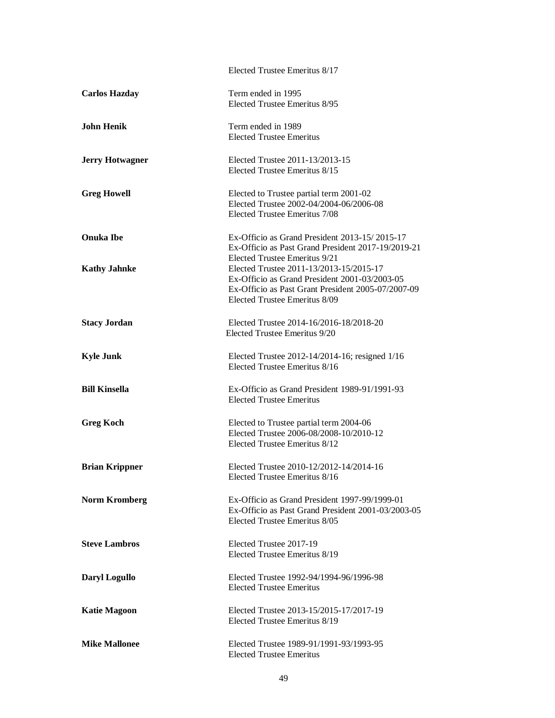|                        | Elected Trustee Emeritus 8/17                                              |
|------------------------|----------------------------------------------------------------------------|
| <b>Carlos Hazday</b>   | Term ended in 1995<br>Elected Trustee Emeritus 8/95                        |
| <b>John Henik</b>      | Term ended in 1989                                                         |
|                        | <b>Elected Trustee Emeritus</b>                                            |
| <b>Jerry Hotwagner</b> | Elected Trustee 2011-13/2013-15                                            |
|                        | Elected Trustee Emeritus 8/15                                              |
| <b>Greg Howell</b>     | Elected to Trustee partial term 2001-02                                    |
|                        | Elected Trustee 2002-04/2004-06/2006-08                                    |
|                        | Elected Trustee Emeritus 7/08                                              |
| <b>Onuka Ibe</b>       | Ex-Officio as Grand President 2013-15/2015-17                              |
|                        | Ex-Officio as Past Grand President 2017-19/2019-21                         |
| <b>Kathy Jahnke</b>    | Elected Trustee Emeritus 9/21<br>Elected Trustee 2011-13/2013-15/2015-17   |
|                        | Ex-Officio as Grand President 2001-03/2003-05                              |
|                        | Ex-Officio as Past Grant President 2005-07/2007-09                         |
|                        | Elected Trustee Emeritus 8/09                                              |
| <b>Stacy Jordan</b>    | Elected Trustee 2014-16/2016-18/2018-20                                    |
|                        | Elected Trustee Emeritus 9/20                                              |
| <b>Kyle Junk</b>       | Elected Trustee 2012-14/2014-16; resigned 1/16                             |
|                        | Elected Trustee Emeritus 8/16                                              |
| <b>Bill Kinsella</b>   | Ex-Officio as Grand President 1989-91/1991-93                              |
|                        | <b>Elected Trustee Emeritus</b>                                            |
| <b>Greg Koch</b>       | Elected to Trustee partial term 2004-06                                    |
|                        | Elected Trustee 2006-08/2008-10/2010-12                                    |
|                        | Elected Trustee Emeritus 8/12                                              |
| <b>Brian Krippner</b>  | Elected Trustee 2010-12/2012-14/2014-16                                    |
|                        | Elected Trustee Emeritus 8/16                                              |
| <b>Norm Kromberg</b>   | Ex-Officio as Grand President 1997-99/1999-01                              |
|                        | Ex-Officio as Past Grand President 2001-03/2003-05                         |
|                        | Elected Trustee Emeritus 8/05                                              |
| <b>Steve Lambros</b>   | Elected Trustee 2017-19                                                    |
|                        | Elected Trustee Emeritus 8/19                                              |
| <b>Daryl Logullo</b>   | Elected Trustee 1992-94/1994-96/1996-98                                    |
|                        | <b>Elected Trustee Emeritus</b>                                            |
| <b>Katie Magoon</b>    | Elected Trustee 2013-15/2015-17/2017-19                                    |
|                        | Elected Trustee Emeritus 8/19                                              |
|                        |                                                                            |
| <b>Mike Mallonee</b>   | Elected Trustee 1989-91/1991-93/1993-95<br><b>Elected Trustee Emeritus</b> |
|                        |                                                                            |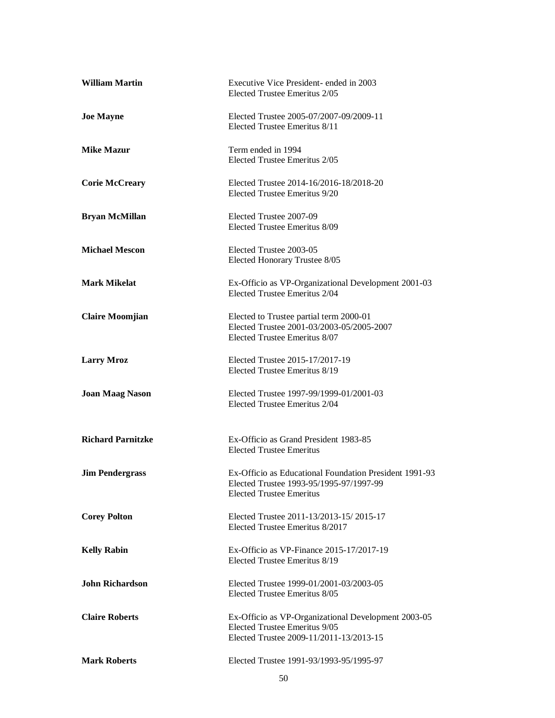| <b>William Martin</b>    | Executive Vice President- ended in 2003<br>Elected Trustee Emeritus 2/05                                                             |
|--------------------------|--------------------------------------------------------------------------------------------------------------------------------------|
| <b>Joe Mayne</b>         | Elected Trustee 2005-07/2007-09/2009-11<br>Elected Trustee Emeritus 8/11                                                             |
| <b>Mike Mazur</b>        | Term ended in 1994<br>Elected Trustee Emeritus 2/05                                                                                  |
| <b>Corie McCreary</b>    | Elected Trustee 2014-16/2016-18/2018-20<br>Elected Trustee Emeritus 9/20                                                             |
| <b>Bryan McMillan</b>    | Elected Trustee 2007-09<br>Elected Trustee Emeritus 8/09                                                                             |
| <b>Michael Mescon</b>    | Elected Trustee 2003-05<br>Elected Honorary Trustee 8/05                                                                             |
| <b>Mark Mikelat</b>      | Ex-Officio as VP-Organizational Development 2001-03<br>Elected Trustee Emeritus 2/04                                                 |
| <b>Claire Moomjian</b>   | Elected to Trustee partial term 2000-01<br>Elected Trustee 2001-03/2003-05/2005-2007<br>Elected Trustee Emeritus 8/07                |
| <b>Larry Mroz</b>        | Elected Trustee 2015-17/2017-19<br>Elected Trustee Emeritus 8/19                                                                     |
| <b>Joan Maag Nason</b>   | Elected Trustee 1997-99/1999-01/2001-03<br>Elected Trustee Emeritus 2/04                                                             |
| <b>Richard Parnitzke</b> | Ex-Officio as Grand President 1983-85<br><b>Elected Trustee Emeritus</b>                                                             |
| <b>Jim Pendergrass</b>   | Ex-Officio as Educational Foundation President 1991-93<br>Elected Trustee 1993-95/1995-97/1997-99<br><b>Elected Trustee Emeritus</b> |
| <b>Corey Polton</b>      | Elected Trustee 2011-13/2013-15/2015-17<br>Elected Trustee Emeritus 8/2017                                                           |
| <b>Kelly Rabin</b>       | Ex-Officio as VP-Finance 2015-17/2017-19<br>Elected Trustee Emeritus 8/19                                                            |
| <b>John Richardson</b>   | Elected Trustee 1999-01/2001-03/2003-05<br>Elected Trustee Emeritus 8/05                                                             |
| <b>Claire Roberts</b>    | Ex-Officio as VP-Organizational Development 2003-05<br>Elected Trustee Emeritus 9/05<br>Elected Trustee 2009-11/2011-13/2013-15      |
| <b>Mark Roberts</b>      | Elected Trustee 1991-93/1993-95/1995-97                                                                                              |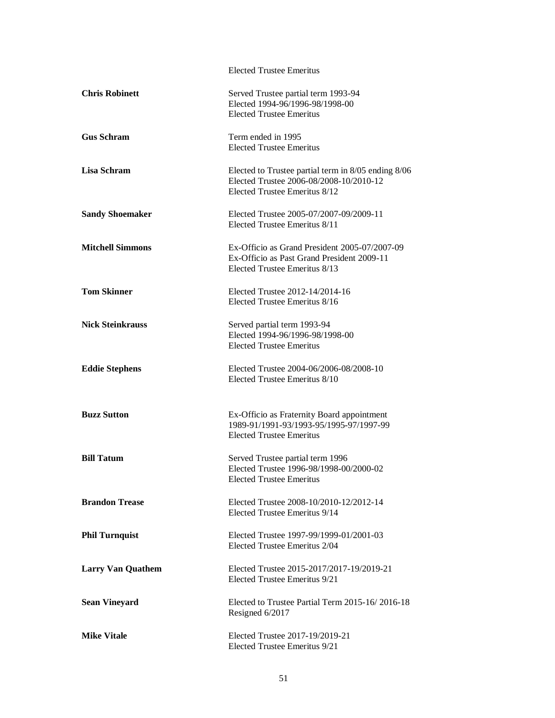|                          | <b>Elected Trustee Emeritus</b>                                                                                                 |
|--------------------------|---------------------------------------------------------------------------------------------------------------------------------|
| <b>Chris Robinett</b>    | Served Trustee partial term 1993-94<br>Elected 1994-96/1996-98/1998-00<br><b>Elected Trustee Emeritus</b>                       |
| <b>Gus Schram</b>        | Term ended in 1995<br><b>Elected Trustee Emeritus</b>                                                                           |
| Lisa Schram              | Elected to Trustee partial term in 8/05 ending 8/06<br>Elected Trustee 2006-08/2008-10/2010-12<br>Elected Trustee Emeritus 8/12 |
| <b>Sandy Shoemaker</b>   | Elected Trustee 2005-07/2007-09/2009-11<br>Elected Trustee Emeritus 8/11                                                        |
| <b>Mitchell Simmons</b>  | Ex-Officio as Grand President 2005-07/2007-09<br>Ex-Officio as Past Grand President 2009-11<br>Elected Trustee Emeritus 8/13    |
| <b>Tom Skinner</b>       | Elected Trustee 2012-14/2014-16<br>Elected Trustee Emeritus 8/16                                                                |
| <b>Nick Steinkrauss</b>  | Served partial term 1993-94<br>Elected 1994-96/1996-98/1998-00<br><b>Elected Trustee Emeritus</b>                               |
| <b>Eddie Stephens</b>    | Elected Trustee 2004-06/2006-08/2008-10<br>Elected Trustee Emeritus 8/10                                                        |
| <b>Buzz Sutton</b>       | Ex-Officio as Fraternity Board appointment<br>1989-91/1991-93/1993-95/1995-97/1997-99<br><b>Elected Trustee Emeritus</b>        |
| <b>Bill Tatum</b>        | Served Trustee partial term 1996<br>Elected Trustee 1996-98/1998-00/2000-02<br><b>Elected Trustee Emeritus</b>                  |
| <b>Brandon Trease</b>    | Elected Trustee 2008-10/2010-12/2012-14<br>Elected Trustee Emeritus 9/14                                                        |
| <b>Phil Turnquist</b>    | Elected Trustee 1997-99/1999-01/2001-03<br>Elected Trustee Emeritus 2/04                                                        |
| <b>Larry Van Quathem</b> | Elected Trustee 2015-2017/2017-19/2019-21<br>Elected Trustee Emeritus 9/21                                                      |
| <b>Sean Vineyard</b>     | Elected to Trustee Partial Term 2015-16/2016-18<br>Resigned 6/2017                                                              |
| <b>Mike Vitale</b>       | Elected Trustee 2017-19/2019-21<br>Elected Trustee Emeritus 9/21                                                                |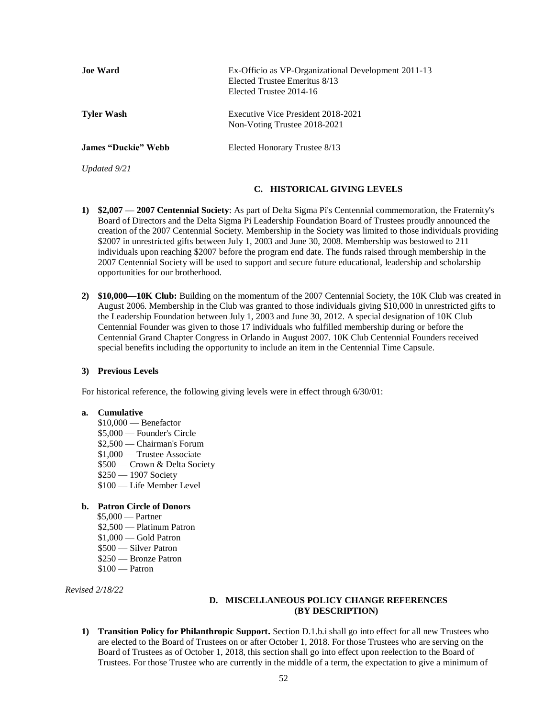| <b>Joe Ward</b>            | Ex-Officio as VP-Organizational Development 2011-13<br>Elected Trustee Emeritus 8/13<br>Elected Trustee 2014-16 |
|----------------------------|-----------------------------------------------------------------------------------------------------------------|
| <b>Tyler Wash</b>          | Executive Vice President 2018-2021<br>Non-Voting Trustee 2018-2021                                              |
| <b>James "Duckie" Webb</b> | Elected Honorary Trustee 8/13                                                                                   |
| Updated 9/21               |                                                                                                                 |

### **C. HISTORICAL GIVING LEVELS**

- <span id="page-51-0"></span>**1) \$2,007 — 2007 Centennial Society**: As part of Delta Sigma Pi's Centennial commemoration, the Fraternity's Board of Directors and the Delta Sigma Pi Leadership Foundation Board of Trustees proudly announced the creation of the 2007 Centennial Society. Membership in the Society was limited to those individuals providing \$2007 in unrestricted gifts between July 1, 2003 and June 30, 2008. Membership was bestowed to 211 individuals upon reaching \$2007 before the program end date. The funds raised through membership in the 2007 Centennial Society will be used to support and secure future educational, leadership and scholarship opportunities for our brotherhood.
- **2) \$10,000—10K Club:** Building on the momentum of the 2007 Centennial Society, the 10K Club was created in August 2006. Membership in the Club was granted to those individuals giving \$10,000 in unrestricted gifts to the Leadership Foundation between July 1, 2003 and June 30, 2012. A special designation of 10K Club Centennial Founder was given to those 17 individuals who fulfilled membership during or before the Centennial Grand Chapter Congress in Orlando in August 2007. 10K Club Centennial Founders received special benefits including the opportunity to include an item in the Centennial Time Capsule.

#### **3) Previous Levels**

For historical reference, the following giving levels were in effect through 6/30/01:

#### **a. Cumulative**

\$10,000 — Benefactor \$5,000 — Founder's Circle \$2,500 — Chairman's Forum \$1,000 — Trustee Associate \$500 — Crown & Delta Society \$250 — 1907 Society \$100 — Life Member Level

### **b. Patron Circle of Donors**

 \$5,000 — Partner \$2,500 — Platinum Patron \$1,000 — Gold Patron \$500 — Silver Patron \$250 — Bronze Patron  $$100$  — Patron

<span id="page-51-1"></span>*Revised 2/18/22*

### **D. MISCELLANEOUS POLICY CHANGE REFERENCES (BY DESCRIPTION)**

**1) Transition Policy for Philanthropic Support.** Section D.1.b.i shall go into effect for all new Trustees who are elected to the Board of Trustees on or after October 1, 2018. For those Trustees who are serving on the Board of Trustees as of October 1, 2018, this section shall go into effect upon reelection to the Board of Trustees. For those Trustee who are currently in the middle of a term, the expectation to give a minimum of